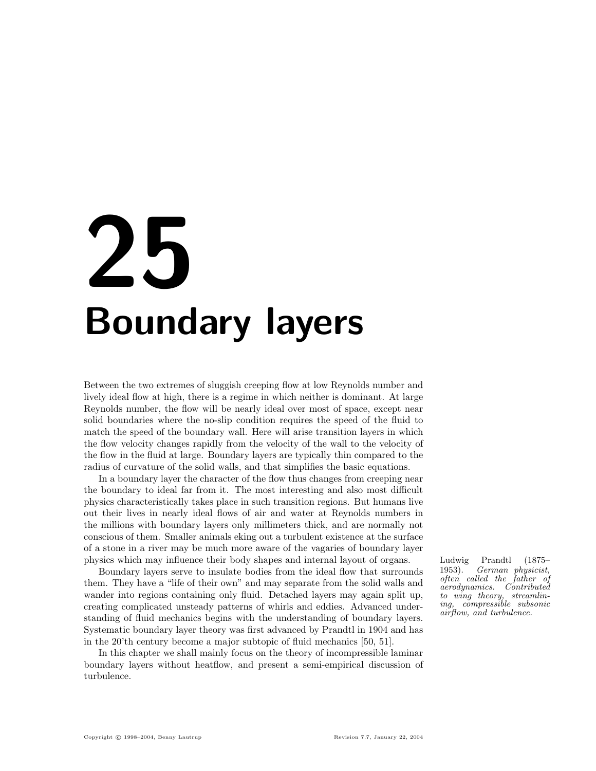# 25 Boundary layers

Between the two extremes of sluggish creeping flow at low Reynolds number and lively ideal flow at high, there is a regime in which neither is dominant. At large Reynolds number, the flow will be nearly ideal over most of space, except near solid boundaries where the no-slip condition requires the speed of the fluid to match the speed of the boundary wall. Here will arise transition layers in which the flow velocity changes rapidly from the velocity of the wall to the velocity of the flow in the fluid at large. Boundary layers are typically thin compared to the radius of curvature of the solid walls, and that simplifies the basic equations.

In a boundary layer the character of the flow thus changes from creeping near the boundary to ideal far from it. The most interesting and also most difficult physics characteristically takes place in such transition regions. But humans live out their lives in nearly ideal flows of air and water at Reynolds numbers in the millions with boundary layers only millimeters thick, and are normally not conscious of them. Smaller animals eking out a turbulent existence at the surface of a stone in a river may be much more aware of the vagaries of boundary layer physics which may influence their body shapes and internal layout of organs. Ludwig Prandtl (1875–

Boundary layers serve to insulate bodies from the ideal flow that surrounds them. They have a "life of their own" and may separate from the solid walls and wander into regions containing only fluid. Detached layers may again split up, creating complicated unsteady patterns of whirls and eddies. Advanced understanding of fluid mechanics begins with the understanding of boundary layers. Systematic boundary layer theory was first advanced by Prandtl in 1904 and has in the 20'th century become a major subtopic of fluid mechanics [50, 51].

In this chapter we shall mainly focus on the theory of incompressible laminar boundary layers without heatflow, and present a semi-empirical discussion of turbulence.

1953). German physicist, often called the father of aerodynamics. Contributed to wing theory, streamlining, compressible subsonic airflow, and turbulence.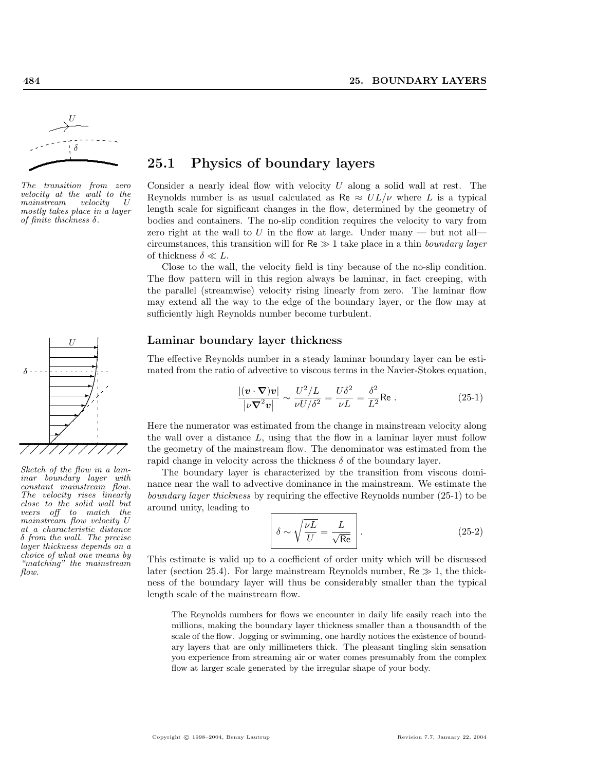

The transition from zero velocity at the wall to the<br>mainstream velocity U  $main stream$  velocity mostly takes place in a layer of finite thickness  $\delta$ .



Sketch of the flow in a laminar boundary layer with constant mainstream flow. The velocity rises linearly close to the solid wall but veers off to match the mainstream flow velocity U at a characteristic distance δ from the wall. The precise layer thickness depends on a choice of what one means by "matching" the mainstream flow.

# 25.1 Physics of boundary layers

Consider a nearly ideal flow with velocity  $U$  along a solid wall at rest. The Reynolds number is as usual calculated as Re  $\approx UL/\nu$  where L is a typical length scale for significant changes in the flow, determined by the geometry of bodies and containers. The no-slip condition requires the velocity to vary from zero right at the wall to U in the flow at large. Under many  $-$  but not all circumstances, this transition will for  $Re \gg 1$  take place in a thin boundary layer of thickness  $\delta \ll L$ .

Close to the wall, the velocity field is tiny because of the no-slip condition. The flow pattern will in this region always be laminar, in fact creeping, with the parallel (streamwise) velocity rising linearly from zero. The laminar flow may extend all the way to the edge of the boundary layer, or the flow may at sufficiently high Reynolds number become turbulent.

#### Laminar boundary layer thickness

The effective Reynolds number in a steady laminar boundary layer can be estimated from the ratio of advective to viscous terms in the Navier-Stokes equation,

$$
\frac{|(\boldsymbol{v} \cdot \nabla)\boldsymbol{v}|}{|\nu \nabla^2 \boldsymbol{v}|} \sim \frac{U^2/L}{\nu U/\delta^2} = \frac{U\delta^2}{\nu L} = \frac{\delta^2}{L^2} \text{Re}.
$$
 (25-1)

Here the numerator was estimated from the change in mainstream velocity along the wall over a distance  $L$ , using that the flow in a laminar layer must follow the geometry of the mainstream flow. The denominator was estimated from the rapid change in velocity across the thickness  $\delta$  of the boundary layer.

The boundary layer is characterized by the transition from viscous dominance near the wall to advective dominance in the mainstream. We estimate the boundary layer thickness by requiring the effective Reynolds number (25-1) to be around unity, leading to

$$
\delta \sim \sqrt{\frac{\nu L}{U}} = \frac{L}{\sqrt{\text{Re}}}
$$
 (25-2)

This estimate is valid up to a coefficient of order unity which will be discussed later (section 25.4). For large mainstream Reynolds number,  $Re \gg 1$ , the thickness of the boundary layer will thus be considerably smaller than the typical length scale of the mainstream flow.

The Reynolds numbers for flows we encounter in daily life easily reach into the millions, making the boundary layer thickness smaller than a thousandth of the scale of the flow. Jogging or swimming, one hardly notices the existence of boundary layers that are only millimeters thick. The pleasant tingling skin sensation you experience from streaming air or water comes presumably from the complex flow at larger scale generated by the irregular shape of your body.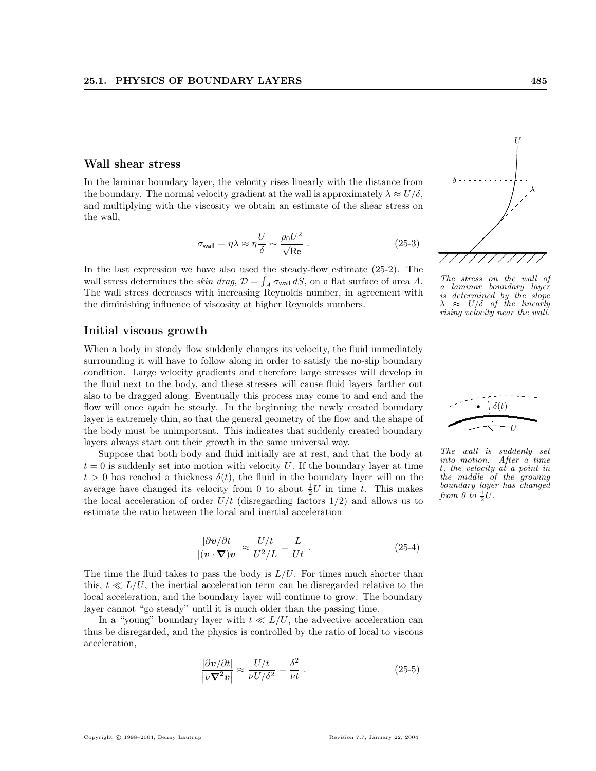#### Wall shear stress

In the laminar boundary layer, the velocity rises linearly with the distance from the boundary. The normal velocity gradient at the wall is approximately  $\lambda \approx U/\delta$ , and multiplying with the viscosity we obtain an estimate of the shear stress on the wall,

$$
\sigma_{\text{wall}} = \eta \lambda \approx \eta \frac{U}{\delta} \sim \frac{\rho_0 U^2}{\sqrt{\text{Re}}} \ . \tag{25-3}
$$

In the last expression we have also used the steady-flow estimate (25-2). The wall stress determines the *skin drag*,  $\mathcal{D} = \int_A \sigma_{\text{wall}} dS$ , on a flat surface of area A. The wall stress decreases with increasing Reynolds number, in agreement with the diminishing influence of viscosity at higher Reynolds numbers.

#### Initial viscous growth

When a body in steady flow suddenly changes its velocity, the fluid immediately surrounding it will have to follow along in order to satisfy the no-slip boundary condition. Large velocity gradients and therefore large stresses will develop in the fluid next to the body, and these stresses will cause fluid layers farther out also to be dragged along. Eventually this process may come to and end and the flow will once again be steady. In the beginning the newly created boundary layer is extremely thin, so that the general geometry of the flow and the shape of the body must be unimportant. This indicates that suddenly created boundary layers always start out their growth in the same universal way.

Suppose that both body and fluid initially are at rest, and that the body at  $t = 0$  is suddenly set into motion with velocity U. If the boundary layer at time  $t > 0$  has reached a thickness  $\delta(t)$ , the fluid in the boundary layer will on the average have changed its velocity from 0 to about  $\frac{1}{2}U$  in time t. This makes the local acceleration of order  $U/t$  (disregarding factors  $1/2$ ) and allows us to estimate the ratio between the local and inertial acceleration

$$
\frac{|\partial \boldsymbol{v}/\partial t|}{|(\boldsymbol{v} \cdot \boldsymbol{\nabla}) \boldsymbol{v}|} \approx \frac{U/t}{U^2/L} = \frac{L}{Ut} . \tag{25-4}
$$

The time the fluid takes to pass the body is  $L/U$ . For times much shorter than this,  $t \ll L/U$ , the inertial acceleration term can be disregarded relative to the local acceleration, and the boundary layer will continue to grow. The boundary layer cannot "go steady" until it is much older than the passing time.

In a "young" boundary layer with  $t \ll L/U$ , the advective acceleration can thus be disregarded, and the physics is controlled by the ratio of local to viscous acceleration,

$$
\frac{|\partial \mathbf{v}/\partial t|}{|\nu \nabla^2 \mathbf{v}|} \approx \frac{U/t}{\nu U/\delta^2} = \frac{\delta^2}{\nu t} . \tag{25-5}
$$



The stress on the wall of a laminar boundary layer is determined by the slope  $\lambda \approx U/\delta$  of the linearly rising velocity near the wall.



The wall is suddenly set into motion. After a time t, the velocity at a point in the middle of the growing boundary layer has changed from 0 to  $\frac{1}{2}U$ .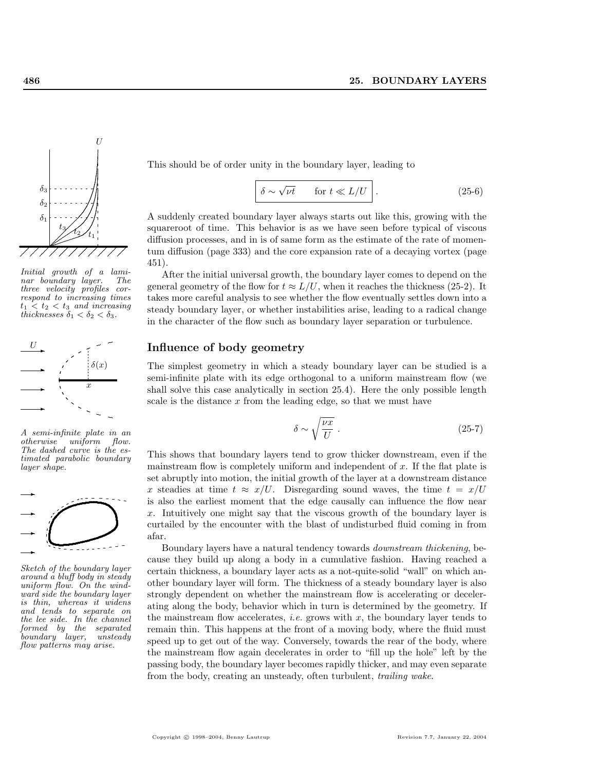

Initial growth of a lami-<br>nar boundary layer. The nar boundary layer. three velocity profiles correspond to increasing times  $t_1 < t_2 < t_3$  and increasing thicknesses  $\delta_1 < \delta_2 < \delta_3$ .



A semi-infinite plate in an otherwise uniform flow. The dashed curve is the estimated parabolic boundary layer shape.



Sketch of the boundary layer around a bluff body in steady uniform flow. On the windward side the boundary layer is thin, whereas it widens and tends to separate on the lee side. In the channel formed by the separated boundary layer, unsteady flow patterns may arise.

This should be of order unity in the boundary layer, leading to

$$
\delta \sim \sqrt{\nu t} \qquad \text{for } t \ll L/U \qquad (25-6)
$$

A suddenly created boundary layer always starts out like this, growing with the squareroot of time. This behavior is as we have seen before typical of viscous diffusion processes, and in is of same form as the estimate of the rate of momentum diffusion (page 333) and the core expansion rate of a decaying vortex (page 451).

After the initial universal growth, the boundary layer comes to depend on the general geometry of the flow for  $t \approx L/U$ , when it reaches the thickness (25-2). It takes more careful analysis to see whether the flow eventually settles down into a steady boundary layer, or whether instabilities arise, leading to a radical change in the character of the flow such as boundary layer separation or turbulence.

### Influence of body geometry

The simplest geometry in which a steady boundary layer can be studied is a semi-infinite plate with its edge orthogonal to a uniform mainstream flow (we shall solve this case analytically in section 25.4). Here the only possible length scale is the distance  $x$  from the leading edge, so that we must have

$$
\delta \sim \sqrt{\frac{\nu x}{U}} \ . \tag{25-7}
$$

This shows that boundary layers tend to grow thicker downstream, even if the mainstream flow is completely uniform and independent of  $x$ . If the flat plate is set abruptly into motion, the initial growth of the layer at a downstream distance x steadies at time  $t \approx x/U$ . Disregarding sound waves, the time  $t = x/U$ is also the earliest moment that the edge causally can influence the flow near x. Intuitively one might say that the viscous growth of the boundary layer is curtailed by the encounter with the blast of undisturbed fluid coming in from q afar.

Boundary layers have a natural tendency towards downstream thickening, because they build up along a body in a cumulative fashion. Having reached a certain thickness, a boundary layer acts as a not-quite-solid "wall" on which another boundary layer will form. The thickness of a steady boundary layer is also strongly dependent on whether the mainstream flow is accelerating or decelerating along the body, behavior which in turn is determined by the geometry. If the mainstream flow accelerates, *i.e.* grows with  $x$ , the boundary layer tends to remain thin. This happens at the front of a moving body, where the fluid must speed up to get out of the way. Conversely, towards the rear of the body, where the mainstream flow again decelerates in order to "fill up the hole" left by the passing body, the boundary layer becomes rapidly thicker, and may even separate from the body, creating an unsteady, often turbulent, trailing wake.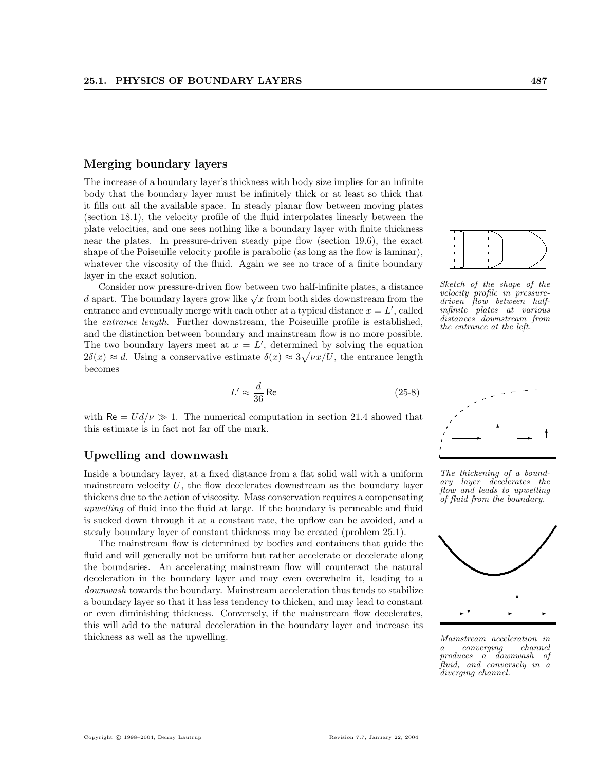#### Merging boundary layers

The increase of a boundary layer's thickness with body size implies for an infinite body that the boundary layer must be infinitely thick or at least so thick that it fills out all the available space. In steady planar flow between moving plates (section 18.1), the velocity profile of the fluid interpolates linearly between the plate velocities, and one sees nothing like a boundary layer with finite thickness near the plates. In pressure-driven steady pipe flow (section 19.6), the exact shape of the Poiseuille velocity profile is parabolic (as long as the flow is laminar), whatever the viscosity of the fluid. Again we see no trace of a finite boundary layer in the exact solution.

Consider now pressure-driven flow between two half-infinite plates, a distance Consider now pressure-driven now between two nan-immute plates, a distance d apart. The boundary layers grow like  $\sqrt{x}$  from both sides downstream from the entrance and eventually merge with each other at a typical distance  $x = L'$ , called the entrance length. Further downstream, the Poiseuille profile is established, and the distinction between boundary and mainstream flow is no more possible. The two boundary layers meet at  $x = L'$ , determined by solving the equation  $2\delta(x) \approx d$ . Using a conservative estimate  $\delta(x) \approx 3\sqrt{\nu x}/U$ , the entrance length becomes

$$
L' \approx \frac{d}{36} \text{ Re} \tag{25-8}
$$

with Re =  $U d/\nu \gg 1$ . The numerical computation in section 21.4 showed that this estimate is in fact not far off the mark.

#### Upwelling and downwash .

Inside a boundary layer, at a fixed distance from a flat solid wall with a uniform mainstream velocity  $U$ , the flow decelerates downstream as the boundary layer thickens due to the action of viscosity. Mass conservation requires a compensating upwelling of fluid into the fluid at large. If the boundary is permeable and fluid is sucked down through it at a constant rate, the upflow can be avoided, and a steady boundary layer of constant thickness may be created (problem 25.1).

The mainstream flow is determined by bodies and containers that guide the fluid and will generally not be uniform but rather accelerate or decelerate along the boundaries. An accelerating mainstream flow will counteract the natural deceleration in the boundary layer and may even overwhelm it, leading to a downwash towards the boundary. Mainstream acceleration thus tends to stabilize a boundary layer so that it has less tendency to thicken, and may lead to constant or even diminishing thickness. Conversely, if the mainstream flow decelerates, this will add to the natural deceleration in the boundary layer and increase its thickness as well as the upwelling.



Sketch of the shape of the velocity profile in pressuredriven flow between halfinfinite plates at various distances downstream from the entrance at the left.



The thickening of a boundary layer decelerates the flow and leads to upwelling of fluid from the boundary.



Mainstream acceleration in a converging produces a downwash of fluid, and conversely in a diverging channel.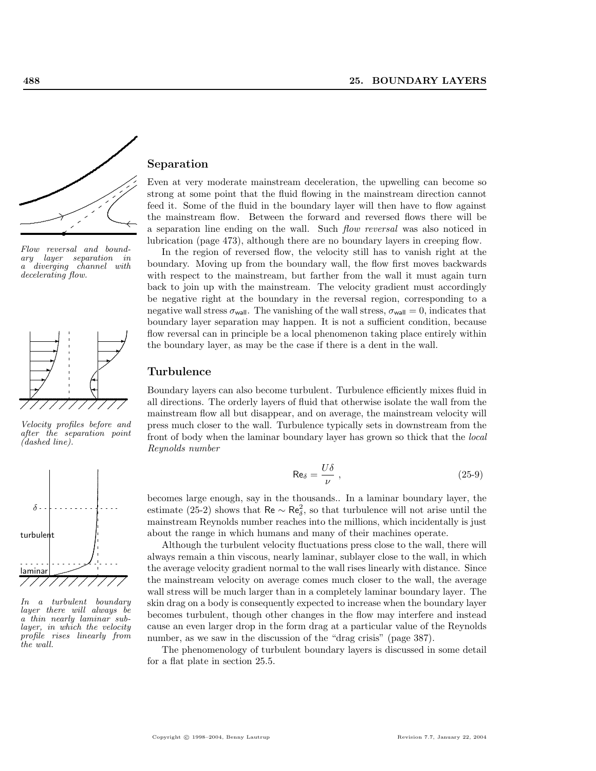

Flow reversal and boundary layer separation in a diverging channel with decelerating flow.



Velocity profiles before and after the separation point (dashed line).



In a turbulent boundary layer there will always be a thin nearly laminar sublayer, in which the velocity profile rises linearly from the wall.

### Separation

Even at very moderate mainstream deceleration, the upwelling can become so strong at some point that the fluid flowing in the mainstream direction cannot feed it. Some of the fluid in the boundary layer will then have to flow against the mainstream flow. Between the forward and reversed flows there will be a separation line ending on the wall. Such flow reversal was also noticed in lubrication (page 473), although there are no boundary layers in creeping flow.

In the region of reversed flow, the velocity still has to vanish right at the boundary. Moving up from the boundary wall, the flow first moves backwards with respect to the mainstream, but farther from the wall it must again turn back to join up with the mainstream. The velocity gradient must accordingly be negative right at the boundary in the reversal region, corresponding to a negative wall stress  $\sigma_{\text{wall}}$ . The vanishing of the wall stress,  $\sigma_{\text{wall}} = 0$ , indicates that boundary layer separation may happen. It is not a sufficient condition, because flow reversal can in principle be a local phenomenon taking place entirely within the boundary layer, as may be the case if there is a dent in the wall.

#### Turbulence

Boundary layers can also become turbulent. Turbulence efficiently mixes fluid in all directions. The orderly layers of fluid that otherwise isolate the wall from the mainstream flow all but disappear, and on average, the mainstream velocity will press much closer to the wall. Turbulence typically sets in downstream from the front of body when the laminar boundary layer has grown so thick that the local Reynolds number

$$
\text{Re}_{\delta} = \frac{U\delta}{\nu} \tag{25-9}
$$

becomes large enough, say in the thousands.. In a laminar boundary layer, the estimate (25-2) shows that Re  $\sim$  Re<sup>2</sup><sub>δ</sub>, so that turbulence will not arise until the mainstream Reynolds number reaches into the millions, which incidentally is just about the range in which humans and many of their machines operate.

Although the turbulent velocity fluctuations press close to the wall, there will always remain a thin viscous, nearly laminar, sublayer close to the wall, in which the average velocity gradient normal to the wall rises linearly with distance. Since the mainstream velocity on average comes much closer to the wall, the average wall stress will be much larger than in a completely laminar boundary layer. The skin drag on a body is consequently expected to increase when the boundary layer becomes turbulent, though other changes in the flow may interfere and instead cause an even larger drop in the form drag at a particular value of the Reynolds number, as we saw in the discussion of the "drag crisis" (page 387).

The phenomenology of turbulent boundary layers is discussed in some detail for a flat plate in section 25.5.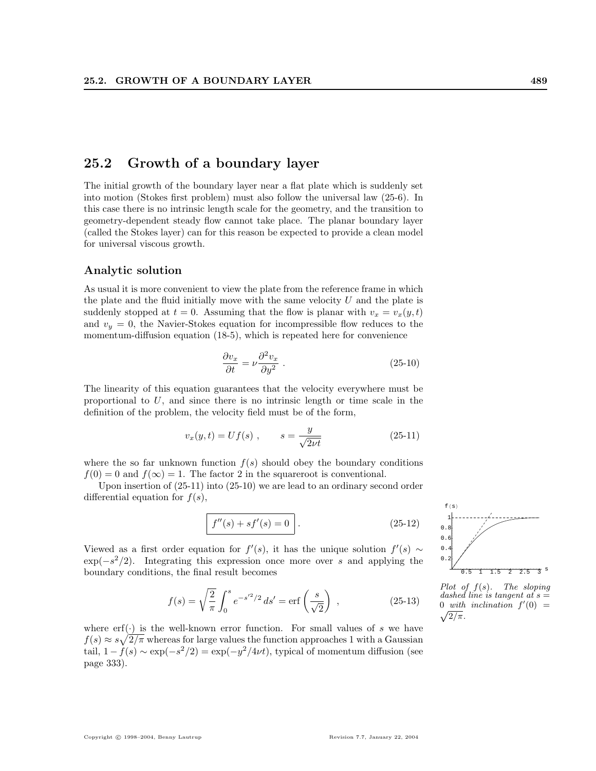# 25.2 Growth of a boundary layer

The initial growth of the boundary layer near a flat plate which is suddenly set into motion (Stokes first problem) must also follow the universal law (25-6). In this case there is no intrinsic length scale for the geometry, and the transition to geometry-dependent steady flow cannot take place. The planar boundary layer (called the Stokes layer) can for this reason be expected to provide a clean model for universal viscous growth.

#### Analytic solution

As usual it is more convenient to view the plate from the reference frame in which the plate and the fluid initially move with the same velocity  $U$  and the plate is suddenly stopped at  $t = 0$ . Assuming that the flow is planar with  $v_x = v_x(y, t)$ and  $v_y = 0$ , the Navier-Stokes equation for incompressible flow reduces to the momentum-diffusion equation (18-5), which is repeated here for convenience

$$
\frac{\partial v_x}{\partial t} = \nu \frac{\partial^2 v_x}{\partial y^2} \tag{25-10}
$$

The linearity of this equation guarantees that the velocity everywhere must be proportional to  $U$ , and since there is no intrinsic length or time scale in the definition of the problem, the velocity field must be of the form,

$$
v_x(y,t) = Uf(s) , \qquad s = \frac{y}{\sqrt{2\nu t}} \tag{25-11}
$$

where the so far unknown function  $f(s)$  should obey the boundary conditions  $f(0) = 0$  and  $f(\infty) = 1$ . The factor 2 in the squareroot is conventional.

Upon insertion of (25-11) into (25-10) we are lead to an ordinary second order differential equation for  $f(s)$ ,

$$
f''(s) + sf'(s) = 0.
$$
 (25-12)

Viewed as a first order equation for  $f'(s)$ , it has the unique solution  $f'(s) \sim$  $\exp(-s^2/2)$ . Integrating this expression once more over s and applying the boundary conditions, the final result becomes

$$
f(s) = \sqrt{\frac{2}{\pi}} \int_0^s e^{-s'^2/2} ds' = \text{erf}\left(\frac{s}{\sqrt{2}}\right) ,\qquad (25-13)
$$

where  $\text{erf}(\cdot)$  is the well-known error function. For small values of s we have  $f(s) \approx s\sqrt{2/\pi}$  whereas for large values the function approaches 1 with a Gaussian tail,  $1 - \dot{f}(s) \sim \exp(-s^2/2) = \exp(-y^2/4\nu t)$ , typical of momentum diffusion (see page 333).



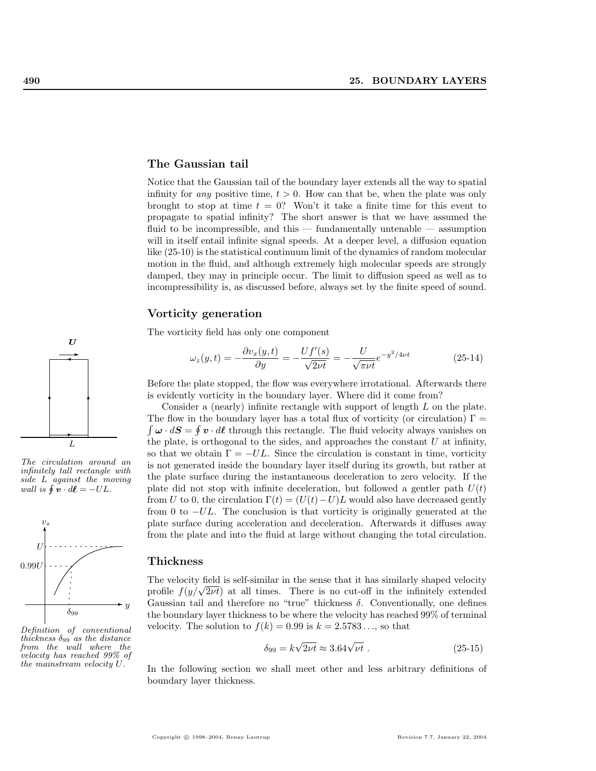#### The Gaussian tail

Notice that the Gaussian tail of the boundary layer extends all the way to spatial infinity for *any* positive time,  $t > 0$ . How can that be, when the plate was only brought to stop at time  $t = 0$ ? Won't it take a finite time for this event to propagate to spatial infinity? The short answer is that we have assumed the fluid to be incompressible, and this — fundamentally untenable — assumption will in itself entail infinite signal speeds. At a deeper level, a diffusion equation like (25-10) is the statistical continuum limit of the dynamics of random molecular motion in the fluid, and although extremely high molecular speeds are strongly damped, they may in principle occur. The limit to diffusion speed as well as to incompressibility is, as discussed before, always set by the finite speed of sound.

#### Vorticity generation

The vorticity field has only one component

$$
\omega_z(y,t) = -\frac{\partial v_x(y,t)}{\partial y} = -\frac{Uf'(s)}{\sqrt{2\nu t}} = -\frac{U}{\sqrt{\pi\nu t}}e^{-y^2/4\nu t}
$$
(25-14)

Before the plate stopped, the flow was everywhere irrotational. Afterwards there is evidently vorticity in the boundary layer. Where did it come from?

Consider a (nearly) infinite rectangle with support of length L on the plate. The flow in the boundary layer has a total flux of vorticity (or circulation)  $\Gamma =$  $\boldsymbol{\omega} \cdot d\boldsymbol{S} = \oint \boldsymbol{v} \cdot d\boldsymbol{\ell}$  through this rectangle. The fluid velocity always vanishes on the plate, is orthogonal to the sides, and approaches the constant  $U$  at infinity, so that we obtain  $\Gamma = -UL$ . Since the circulation is constant in time, vorticity is not generated inside the boundary layer itself during its growth, but rather at the plate surface during the instantaneous deceleration to zero velocity. If the plate did not stop with infinite deceleration, but followed a gentler path  $U(t)$ from U to 0, the circulation  $\Gamma(t) = (U(t)-U)L$  would also have decreased gently from 0 to  $-UL$ . The conclusion is that vorticity is originally generated at the plate surface during acceleration and deceleration. Afterwards it diffuses away from the plate and into the fluid at large without changing the total circulation.

#### Thickness

The velocity field is self-similar in the sense that it has similarly shaped velocity The velocity field is self-similar in the sense that it has similarly shaped velocity profile  $f(y/\sqrt{2\nu t})$  at all times. There is no cut-off in the infinitely extended Gaussian tail and therefore no "true" thickness  $\delta$ . Conventionally, one defines the boundary layer thickness to be where the velocity has reached 99% of terminal velocity. The solution to  $f(k) = 0.99$  is  $k = 2.5783...$ , so that

$$
\delta_{99} = k\sqrt{2\nu t} \approx 3.64\sqrt{\nu t} \ . \tag{25-15}
$$

In the following section we shall meet other and less arbitrary definitions of boundary layer thickness.



The circulation around an infinitely tall rectangle with side L against the moving wall is  $\oint \mathbf{v} \cdot d\boldsymbol{\ell} = -UL$ .



Definition of conventional thickness  $\delta_{99}$  as the distance from the wall where the velocity has reached 99% of the mainstream velocity U.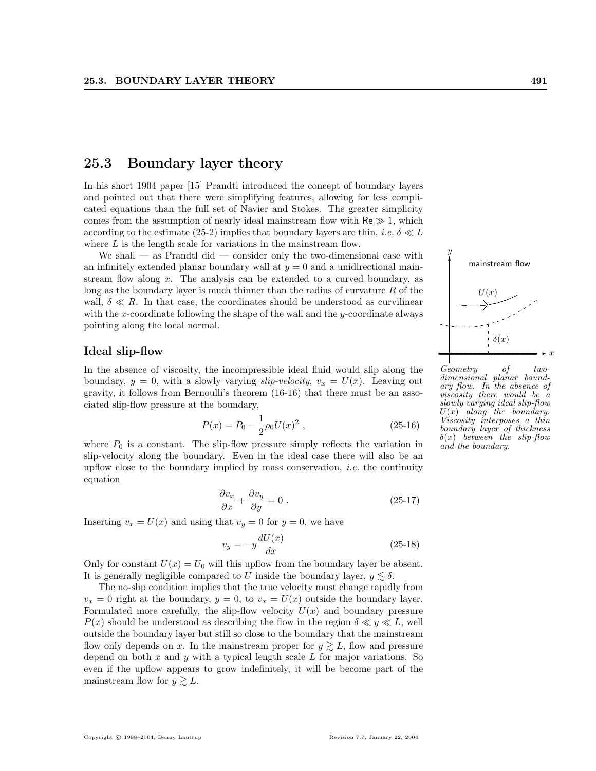# 25.3 Boundary layer theory

In his short 1904 paper [15] Prandtl introduced the concept of boundary layers and pointed out that there were simplifying features, allowing for less complicated equations than the full set of Navier and Stokes. The greater simplicity comes from the assumption of nearly ideal mainstream flow with  $\text{Re} \gg 1$ , which according to the estimate (25-2) implies that boundary layers are thin, *i.e.*  $\delta \ll L$ where  $L$  is the length scale for variations in the mainstream flow.

We shall  $-$  as Prandtl did  $-$  consider only the two-dimensional case with an infinitely extended planar boundary wall at  $y = 0$  and a unidirectional mainstream flow along  $x$ . The analysis can be extended to a curved boundary, as long as the boundary layer is much thinner than the radius of curvature  $R$  of the wall,  $\delta \ll R$ . In that case, the coordinates should be understood as curvilinear with the x-coordinate following the shape of the wall and the  $y$ -coordinate always pointing along the local normal.

In the absence of viscosity, the incompressible ideal fluid would slip along the boundary,  $y = 0$ , with a slowly varying *slip-velocity*,  $v_x = U(x)$ . Leaving out gravity, it follows from Bernoulli's theorem (16-16) that there must be an associated slip-flow pressure at the boundary,

$$
P(x) = P_0 - \frac{1}{2}\rho_0 U(x)^2 , \qquad (25-16)
$$

where  $P_0$  is a constant. The slip-flow pressure simply reflects the variation in slip-velocity along the boundary. Even in the ideal case there will also be an upflow close to the boundary implied by mass conservation, *i.e.* the continuity equation

$$
\frac{\partial v_x}{\partial x} + \frac{\partial v_y}{\partial y} = 0.
$$
 (25-17)

Inserting  $v_x = U(x)$  and using that  $v_y = 0$  for  $y = 0$ , we have

$$
v_y = -y \frac{dU(x)}{dx} \tag{25-18}
$$

Only for constant  $U(x) = U_0$  will this upflow from the boundary layer be absent. It is generally negligible compared to U inside the boundary layer,  $y \lesssim \delta$ .

The no-slip condition implies that the true velocity must change rapidly from  $v_x = 0$  right at the boundary,  $y = 0$ , to  $v_x = U(x)$  outside the boundary layer. Formulated more carefully, the slip-flow velocity  $U(x)$  and boundary pressure  $P(x)$  should be understood as describing the flow in the region  $\delta \ll y \ll L$ , well outside the boundary layer but still so close to the boundary that the mainstream flow only depends on x. In the mainstream proper for  $y \gtrsim L$ , flow and pressure depend on both  $x$  and  $y$  with a typical length scale  $L$  for major variations. So even if the upflow appears to grow indefinitely, it will be become part of the mainstream flow for  $y \geq L$ .

Ideal slip-flow  $\rightarrow x$ . . .  $\delta(x)$ Geometry of twodimensional planar boundary flow. In the absence of viscosity there would be a slowly varying ideal slip-flow  $U(x)$  along the boundary. Viscosity interposes a thin boundary layer of thickness  $\delta(x)$  between the slip-flow

and the boundary.



 $\hat{y}$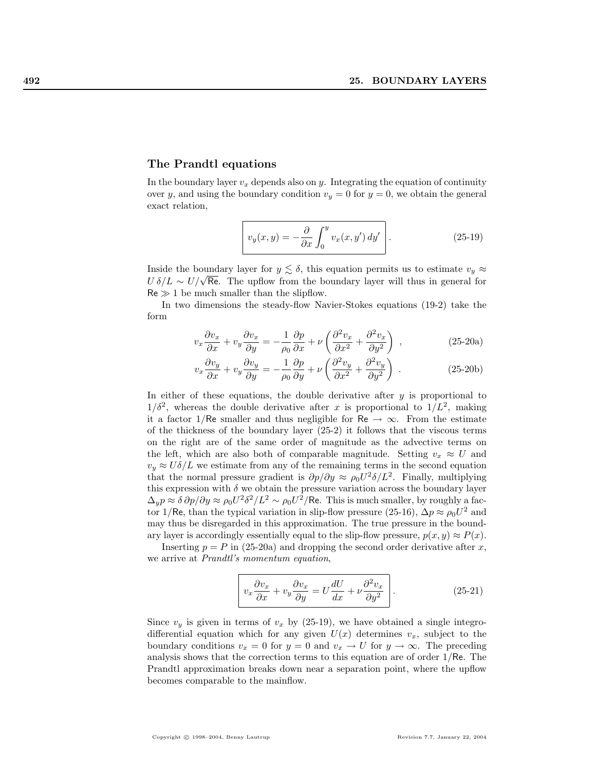#### The Prandtl equations

In the boundary layer  $v_x$  depends also on y. Integrating the equation of continuity over y, and using the boundary condition  $v_y = 0$  for  $y = 0$ , we obtain the general exact relation,

$$
v_y(x,y) = -\frac{\partial}{\partial x} \int_0^y v_x(x,y') \, dy' \quad . \tag{25-19}
$$

Inside the boundary layer for  $y \lesssim \delta$ , this equation permits us to estimate  $v_y \approx$ the up to determine the boundary rayer for  $y \gtrsim o$ , thus equation permits us to estimate  $v_y \approx U \delta/L \sim U/\sqrt{\text{Re}}$ . The upflow from the boundary layer will thus in general for  $Re \gg 1$  be much smaller than the slipflow.

In two dimensions the steady-flow Navier-Stokes equations (19-2) take the form

$$
v_x \frac{\partial v_x}{\partial x} + v_y \frac{\partial v_x}{\partial y} = -\frac{1}{\rho_0} \frac{\partial p}{\partial x} + \nu \left( \frac{\partial^2 v_x}{\partial x^2} + \frac{\partial^2 v_x}{\partial y^2} \right) ,
$$
 (25-20a)

$$
v_x \frac{\partial v_y}{\partial x} + v_y \frac{\partial v_y}{\partial y} = -\frac{1}{\rho_0} \frac{\partial p}{\partial y} + \nu \left( \frac{\partial^2 v_y}{\partial x^2} + \frac{\partial^2 v_y}{\partial y^2} \right) . \tag{25-20b}
$$

In either of these equations, the double derivative after  $y$  is proportional to  $1/\delta^2$ , whereas the double derivative after x is proportional to  $1/L^2$ , making it a factor 1/Re smaller and thus negligible for Re  $\rightarrow \infty$ . From the estimate of the thickness of the boundary layer (25-2) it follows that the viscous terms on the right are of the same order of magnitude as the advective terms on the left, which are also both of comparable magnitude. Setting  $v_x \approx U$  and  $v_y \approx U \delta / L$  we estimate from any of the remaining terms in the second equation that the normal pressure gradient is  $\partial p/\partial y \approx \rho_0 U^2 \delta / L^2$ . Finally, multiplying this expression with  $\delta$  we obtain the pressure variation across the boundary layer  $\Delta_y p \approx \delta \partial p / \partial y \approx \rho_0 U^2 \delta^2 / L^2 \sim \rho_0 U^2 / \text{Re}$ . This is much smaller, by roughly a factor 1/Re, than the typical variation in slip-flow pressure (25-16),  $\Delta p \approx \rho_0 U^2$  and may thus be disregarded in this approximation. The true pressure in the boundary layer is accordingly essentially equal to the slip-flow pressure,  $p(x, y) \approx P(x)$ .

Inserting  $p = P$  in (25-20a) and dropping the second order derivative after x, we arrive at Prandtl's momentum equation,

$$
v_x \frac{\partial v_x}{\partial x} + v_y \frac{\partial v_x}{\partial y} = U \frac{dU}{dx} + \nu \frac{\partial^2 v_x}{\partial y^2} \Bigg|.
$$
 (25-21)

Since  $v_y$  is given in terms of  $v_x$  by (25-19), we have obtained a single integrodifferential equation which for any given  $U(x)$  determines  $v_x$ , subject to the boundary conditions  $v_x = 0$  for  $y = 0$  and  $v_x \to U$  for  $y \to \infty$ . The preceding analysis shows that the correction terms to this equation are of order 1/Re. The Prandtl approximation breaks down near a separation point, where the upflow becomes comparable to the mainflow.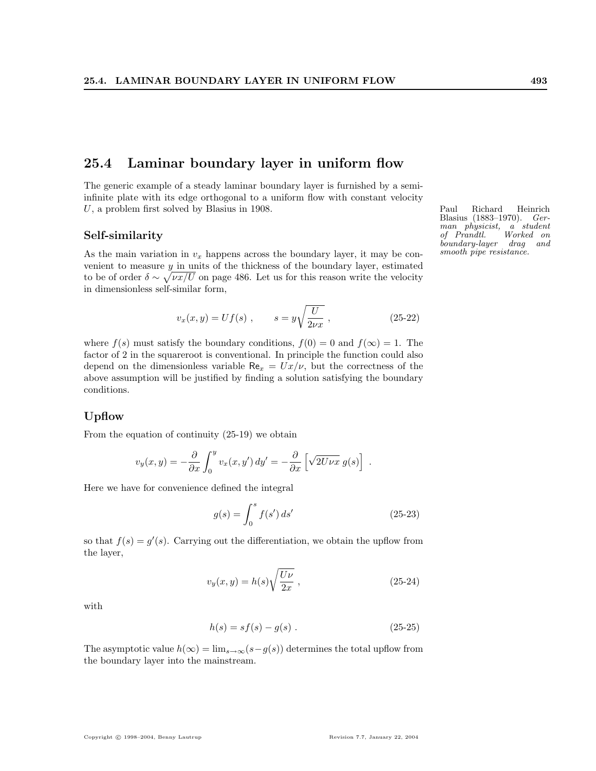# 25.4 Laminar boundary layer in uniform flow

The generic example of a steady laminar boundary layer is furnished by a semiinfinite plate with its edge orthogonal to a uniform flow with constant velocity  $U$ , a problem first solved by Blasius in 1908. Paul Richard Heinrich

#### Self-similarity

As the main variation in  $v_x$  happens across the boundary layer, it may be convenient to measure  $y$  in units of the thickness of the boundary layer, estimated to be of order  $\delta \sim \sqrt{\nu x/U}$  on page 486. Let us for this reason write the velocity in dimensionless self-similar form,

$$
v_x(x, y) = Uf(s)
$$
,  $s = y\sqrt{\frac{U}{2\nu x}}$ , (25-22)

where  $f(s)$  must satisfy the boundary conditions,  $f(0) = 0$  and  $f(\infty) = 1$ . The factor of 2 in the squareroot is conventional. In principle the function could also depend on the dimensionless variable  $\text{Re}_x = Ux/\nu$ , but the correctness of the above assumption will be justified by finding a solution satisfying the boundary conditions.

#### Upflow

From the equation of continuity (25-19) we obtain

$$
v_y(x,y) = -\frac{\partial}{\partial x} \int_0^y v_x(x,y') dy' = -\frac{\partial}{\partial x} \left[ \sqrt{2U\nu x} g(s) \right] .
$$

Here we have for convenience defined the integral

$$
g(s) = \int_0^s f(s') ds' \tag{25-23}
$$

so that  $f(s) = g'(s)$ . Carrying out the differentiation, we obtain the upflow from the layer,

$$
v_y(x,y) = h(s)\sqrt{\frac{U\nu}{2x}} , \qquad (25-24)
$$

with

$$
h(s) = sf(s) - g(s) . \t(25-25)
$$

The asymptotic value  $h(\infty) = \lim_{s\to\infty} (s-g(s))$  determines the total upflow from the boundary layer into the mainstream.

Blasius (1883–1970). Ger- $\begin{array}{cc}\nman & physical, & a' \ student \\
of & Prandtl. & Worked \ on\n\end{array}$ of Prandtl. boundary-layer drag and smooth pipe resistance.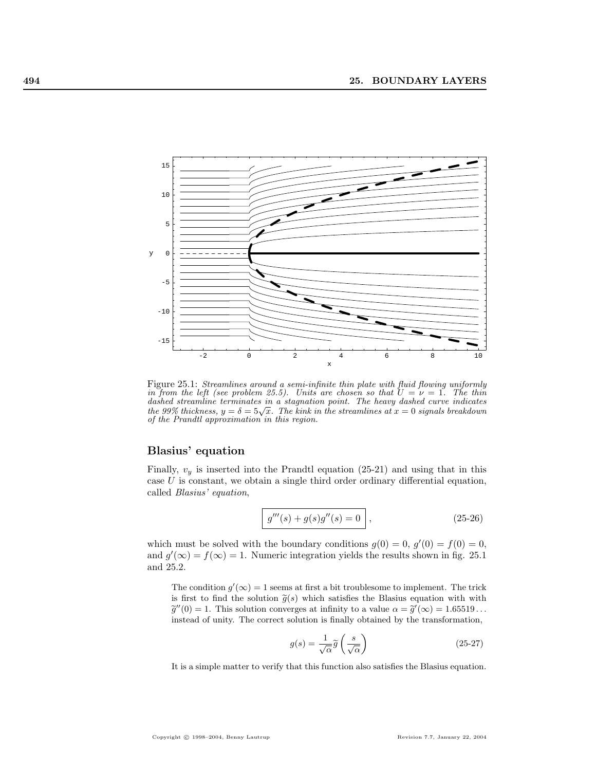

Figure 25.1: Streamlines around a semi-infinite thin plate with fluid flowing uniformly in from the left (see problem 25.5). Units are chosen so that  $U = \nu = 1$ . The thin dashed streamline terminates in a stagnation point. The heavy dashed curve indicates aasned streamine terminates in a stagnation point. The heavy aasned curve inaicates<br>the 99% thickness,  $y = \delta = 5\sqrt{x}$ . The kink in the streamlines at  $x = 0$  signals breakdown of the Prandtl approximation in this region.

#### Blasius' equation

Finally,  $v_y$  is inserted into the Prandtl equation (25-21) and using that in this case  $U$  is constant, we obtain a single third order ordinary differential equation, called Blasius' equation,

$$
g'''(s) + g(s)g''(s) = 0,
$$
\n(25-26)

which must be solved with the boundary conditions  $g(0) = 0, g'(0) = f(0) = 0$ , and  $g'(\infty) = f(\infty) = 1$ . Numeric integration yields the results shown in fig. 25.1 and 25.2.

The condition  $g'(\infty) = 1$  seems at first a bit troublesome to implement. The trick is first to find the solution  $\tilde{g}(s)$  which satisfies the Blasius equation with with  $\widetilde{g}''(0) = 1$ . This solution converges at infinity to a value  $\alpha = \widetilde{g}'(\infty) = 1.65519...$ instead of unity. The correct solution is finally obtained by the transformation,

$$
g(s) = \frac{1}{\sqrt{\alpha}} \tilde{g}\left(\frac{s}{\sqrt{\alpha}}\right)
$$
 (25-27)

It is a simple matter to verify that this function also satisfies the Blasius equation.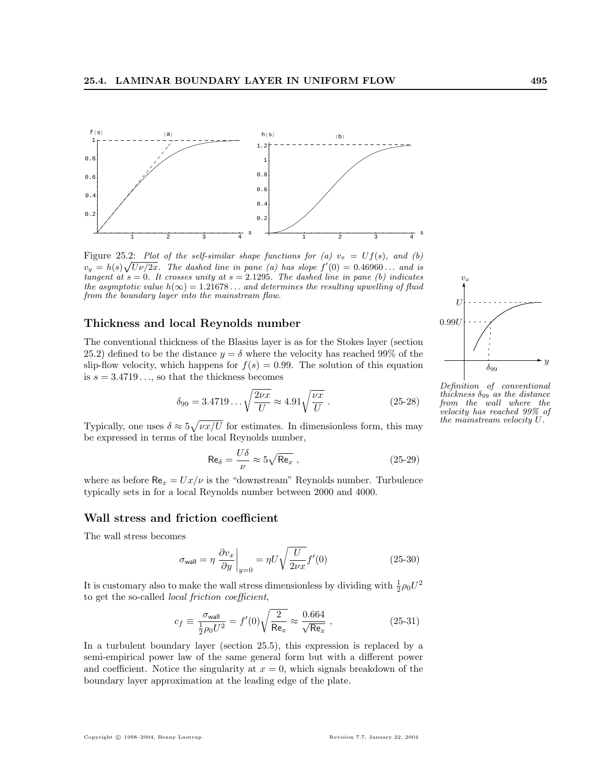

Figure 25.2: Plot of the self-similar shape functions for (a)  $v_x = Uf(s)$ , and (b)  $v_y = h(s)\sqrt{U\nu/2x}$ . The dashed line in pane (a) has slope  $f'(0) = 0.46960...$  and is tangent at  $s = 0$ . It crosses unity at  $s = 2.1295$ . The dashed line in pane (b) indicates the asymptotic value  $h(\infty) = 1.21678...$  and determines the resulting upwelling of fluid from the boundary layer into the mainstream flow.

#### Thickness and local Reynolds number

The conventional thickness of the Blasius layer is as for the Stokes layer (section 25.2) defined to be the distance  $y = \delta$  where the velocity has reached 99% of the slip-flow velocity, which happens for  $f(s) = 0.99$ . The solution of this equation is  $s = 3.4719...$  so that the thickness becomes

$$
\delta_{99} = 3.4719 \dots \sqrt{\frac{2\nu x}{U}} \approx 4.91 \sqrt{\frac{\nu x}{U}} \,. \tag{25-28}
$$

Typically, one uses  $\delta \approx 5$  $\nu x/U$  for estimates. In dimensionless form, this may be expressed in terms of the local Reynolds number,

$$
\text{Re}_{\delta} = \frac{U\delta}{\nu} \approx 5\sqrt{\text{Re}_x} \,,\tag{25-29}
$$

where as before  $\text{Re}_x = Ux/\nu$  is the "downstream" Reynolds number. Turbulence typically sets in for a local Reynolds number between 2000 and 4000.

#### Wall stress and friction coefficient

The wall stress becomes

$$
\sigma_{\text{wall}} = \eta \left. \frac{\partial v_x}{\partial y} \right|_{y=0} = \eta U \sqrt{\frac{U}{2\nu x}} f'(0) \tag{25-30}
$$

It is customary also to make the wall stress dimensionless by dividing with  $\frac{1}{2}\rho_0 U^2$ to get the so-called local friction coefficient,

$$
c_f \equiv \frac{\sigma_{\text{wall}}}{\frac{1}{2}\rho_0 U^2} = f'(0)\sqrt{\frac{2}{\text{Re}_x}} \approx \frac{0.664}{\sqrt{\text{Re}_x}} \,, \tag{25-31}
$$

In a turbulent boundary layer (section 25.5), this expression is replaced by a semi-empirical power law of the same general form but with a different power and coefficient. Notice the singularity at  $x = 0$ , which signals breakdown of the boundary layer approximation at the leading edge of the plate.

 $^{\circ}$  $v<sub>2</sub>$  $\iota$ . U .......... 0.99U  $\delta_{99}$ 

Definition of conventional thickness  $\delta_{99}$  as the distance from the wall where the velocity has reached 99% of the mainstream velocity U.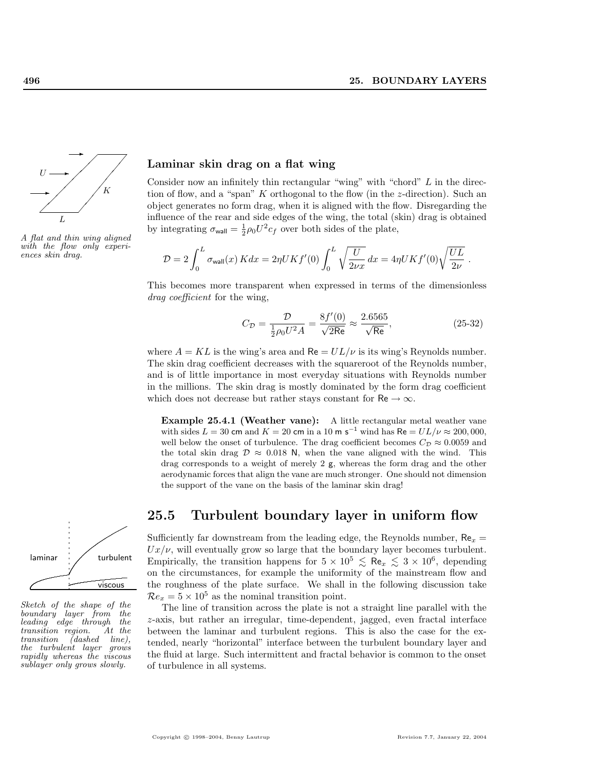

A flat and thin wing aligned with the flow only experi-<br>  $\mathcal{D}=2$   $\int^L$ 

### Laminar skin drag on a flat wing

Consider now an infinitely thin rectangular "wing" with "chord" L in the direction of flow, and a "span" K orthogonal to the flow (in the  $z$ -direction). Such an object generates no form drag, when it is aligned with the flow. Disregarding the influence of the rear and side edges of the wing, the total (skin) drag is obtained by integrating  $\sigma_{\text{wall}} = \frac{1}{2} \rho_0 U^2 c_f$  over both sides of the plate,

$$
D = 2 \int_0^L \sigma_{\text{wall}}(x) K dx = 2\eta UK f'(0) \int_0^L \sqrt{\frac{U}{2\nu x}} dx = 4\eta UK f'(0) \sqrt{\frac{UL}{2\nu}}.
$$

This becomes more transparent when expressed in terms of the dimensionless drag coefficient for the wing,

$$
C_{\mathcal{D}} = \frac{\mathcal{D}}{\frac{1}{2}\rho_0 U^2 A} = \frac{8f'(0)}{\sqrt{2\text{Re}}} \approx \frac{2.6565}{\sqrt{\text{Re}}},\tag{25-32}
$$

where  $A = KL$  is the wing's area and  $Re = UL/\nu$  is its wing's Reynolds number. The skin drag coefficient decreases with the squareroot of the Reynolds number, and is of little importance in most everyday situations with Reynolds number in the millions. The skin drag is mostly dominated by the form drag coefficient which does not decrease but rather stays constant for  $\text{Re} \rightarrow \infty$ .

Example 25.4.1 (Weather vane): A little rectangular metal weather vane with sides  $L = 30$  cm and  $K = 20$  cm in a 10 m s<sup>-1</sup> wind has Re  $= UL/\nu \approx 200,000,$ well below the onset of turbulence. The drag coefficient becomes  $C_{\mathcal{D}} \approx 0.0059$  and the total skin drag  $\mathcal{D} \approx 0.018$  N, when the vane aligned with the wind. This drag corresponds to a weight of merely 2 g, whereas the form drag and the other aerodynamic forces that align the vane are much stronger. One should not dimension the support of the vane on the basis of the laminar skin drag!



Sketch of the shape of the boundary layer from the leading edge through the transition region.  $\begin{tabular}{ll} transition & region. & At the transition & (dashed & line), \end{tabular}$ the turbulent layer grows rapidly whereas the viscous sublayer only grows slowly.

# 25.5 Turbulent boundary layer in uniform flow

Sufficiently far downstream from the leading edge, the Reynolds number,  $Re_x =$  $Ux/\nu$ , will eventually grow so large that the boundary layer becomes turbulent. Empirically, the transition happens for  $5 \times 10^5 \leq \text{Re}_x \leq 3 \times 10^6$ , depending on the circumstances, for example the uniformity of the mainstream flow and the roughness of the plate surface. We shall in the following discussion take  $\mathcal{R}e_x = 5 \times 10^5$  as the nominal transition point.

The line of transition across the plate is not a straight line parallel with the z-axis, but rather an irregular, time-dependent, jagged, even fractal interface between the laminar and turbulent regions. This is also the case for the extended, nearly "horizontal" interface between the turbulent boundary layer and the fluid at large. Such intermittent and fractal behavior is common to the onset of turbulence in all systems.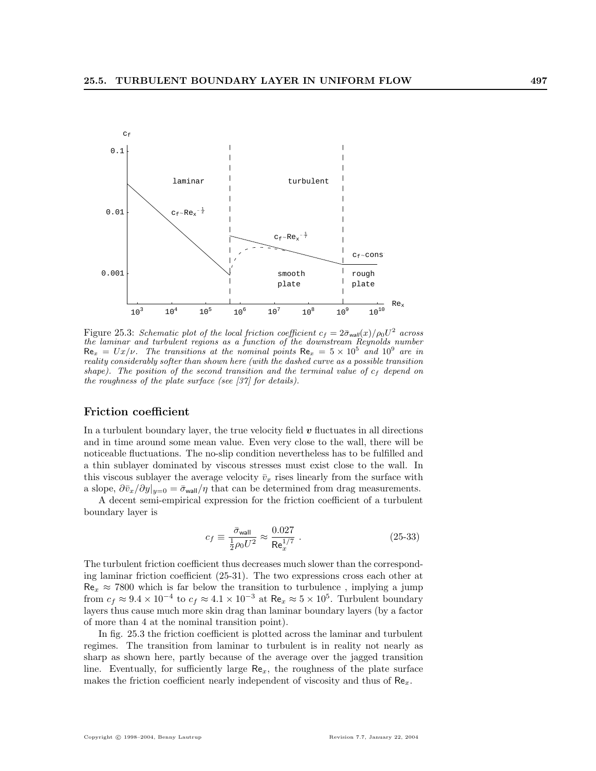

Figure 25.3: Schematic plot of the local friction coefficient  $c_f = 2\bar{\sigma}_{wall}(x)/\rho_0 U^2$  across the laminar and turbulent regions as a function of the downstream Reynolds number  $\text{Re}_x = Ux/\nu$ . The transitions at the nominal points  $\text{Re}_x = 5 \times 10^5$  and  $10^9$  are in reality considerably softer than shown here (with the dashed curve as a possible transition shape). The position of the second transition and the terminal value of  $c_f$  depend on the roughness of the plate surface (see [37] for details).

#### Friction coefficient

In a turbulent boundary layer, the true velocity field  $\boldsymbol{v}$  fluctuates in all directions and in time around some mean value. Even very close to the wall, there will be noticeable fluctuations. The no-slip condition nevertheless has to be fulfilled and a thin sublayer dominated by viscous stresses must exist close to the wall. In this viscous sublayer the average velocity  $\bar{v}_x$  rises linearly from the surface with a slope,  $\partial \bar{v}_x/\partial y|_{y=0} = \bar{\sigma}_{\text{wall}}/\eta$  that can be determined from drag measurements.

A decent semi-empirical expression for the friction coefficient of a turbulent boundary layer is

$$
c_f \equiv \frac{\bar{\sigma}_{\text{wall}}}{\frac{1}{2}\rho_0 U^2} \approx \frac{0.027}{\text{Re}_x^{1/7}} \ . \tag{25-33}
$$

The turbulent friction coefficient thus decreases much slower than the corresponding laminar friction coefficient (25-31). The two expressions cross each other at  $\text{Re}_x \approx 7800$  which is far below the transition to turbulence, implying a jump from  $c_f \approx 9.4 \times 10^{-4}$  to  $c_f \approx 4.1 \times 10^{-3}$  at  $\text{Re}_x \approx 5 \times 10^5$ . Turbulent boundary layers thus cause much more skin drag than laminar boundary layers (by a factor of more than 4 at the nominal transition point).

In fig. 25.3 the friction coefficient is plotted across the laminar and turbulent regimes. The transition from laminar to turbulent is in reality not nearly as sharp as shown here, partly because of the average over the jagged transition line. Eventually, for sufficiently large  $\text{Re}_x$ , the roughness of the plate surface makes the friction coefficient nearly independent of viscosity and thus of  $\mathsf{Re}_x$ .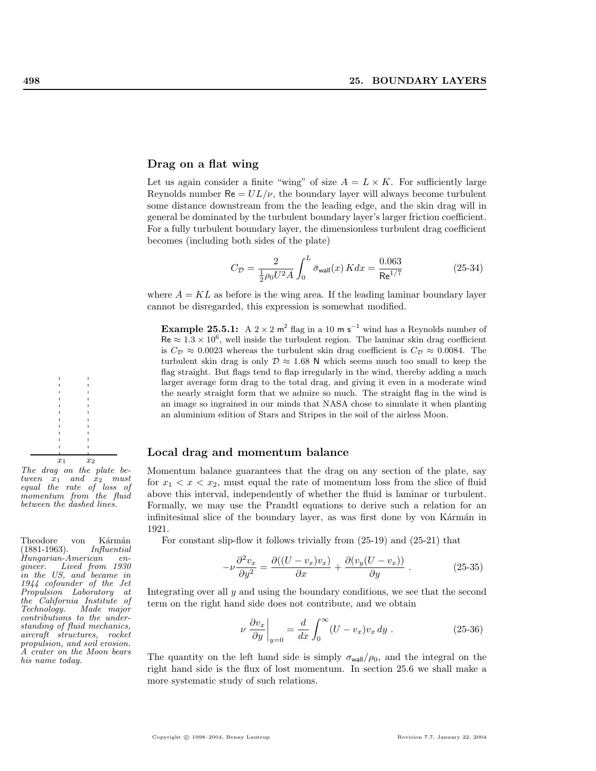#### Drag on a flat wing

Let us again consider a finite "wing" of size  $A = L \times K$ . For sufficiently large Reynolds number  $\text{Re} = UL/\nu$ , the boundary layer will always become turbulent some distance downstream from the the leading edge, and the skin drag will in general be dominated by the turbulent boundary layer's larger friction coefficient. For a fully turbulent boundary layer, the dimensionless turbulent drag coefficient becomes (including both sides of the plate)

$$
C_{\mathcal{D}} = \frac{2}{\frac{1}{2}\rho_0 U^2 A} \int_0^L \bar{\sigma}_{\text{wall}}(x) K dx = \frac{0.063}{\text{Re}^{1/7}}
$$
(25-34)

where  $A = KL$  as before is the wing area. If the leading laminar boundary layer cannot be disregarded, this expression is somewhat modified.

**Example 25.5.1:** A 2 × 2 m<sup>2</sup> flag in a 10 m s<sup>-1</sup> wind has a Reynolds number of  $\text{Re} \approx 1.3 \times 10^6$ , well inside the turbulent region. The laminar skin drag coefficient is  $C_{\mathcal{D}} \approx 0.0023$  whereas the turbulent skin drag coefficient is  $C_{\mathcal{D}} \approx 0.0084$ . The turbulent skin drag is only  $\mathcal{D} \approx 1.68$  N which seems much too small to keep the flag straight. But flags tend to flap irregularly in the wind, thereby adding a much larger average form drag to the total drag, and giving it even in a moderate wind the nearly straight form that we admire so much. The straight flag in the wind is an image so ingrained in our minds that NASA chose to simulate it when planting an aluminium edition of Stars and Stripes in the soil of the airless Moon.

#### Local drag and momentum balance

Momentum balance guarantees that the drag on any section of the plate, say for  $x_1 < x < x_2$ , must equal the rate of momentum loss from the slice of fluid above this interval, independently of whether the fluid is laminar or turbulent. Formally, we may use the Prandtl equations to derive such a relation for an infinitesimal slice of the boundary layer, as was first done by von Kármán in 1921.

Theodore von Kármán For constant slip-flow it follows trivially from  $(25-19)$  and  $(25-21)$  that  $(1881-1963)$ .

$$
-\nu \frac{\partial^2 v_x}{\partial y^2} = \frac{\partial ((U - v_x)v_x)}{\partial x} + \frac{\partial (v_y(U - v_x))}{\partial y}.
$$
 (25-35)

Integrating over all y and using the boundary conditions, we see that the second term on the right hand side does not contribute, and we obtain

$$
\nu \left. \frac{\partial v_x}{\partial y} \right|_{y=0} = \frac{d}{dx} \int_0^\infty (U - v_x) v_x \, dy \tag{25-36}
$$

The quantity on the left hand side is simply  $\sigma_{wall}/\rho_0$ , and the integral on the right hand side is the flux of lost momentum. In section 25.6 we shall make a more systematic study of such relations.



 $(1881 - 1963)$ . Hungarian-American engineer. Lived from 1930 in the US, and became in 1944 cofounder of the Jet Propulsion Laboratory at the California Institute of Made major contributions to the understanding of fluid mechanics, aircraft structures, rocket propulsion, and soil erosion. A crater on the Moon bears his name today.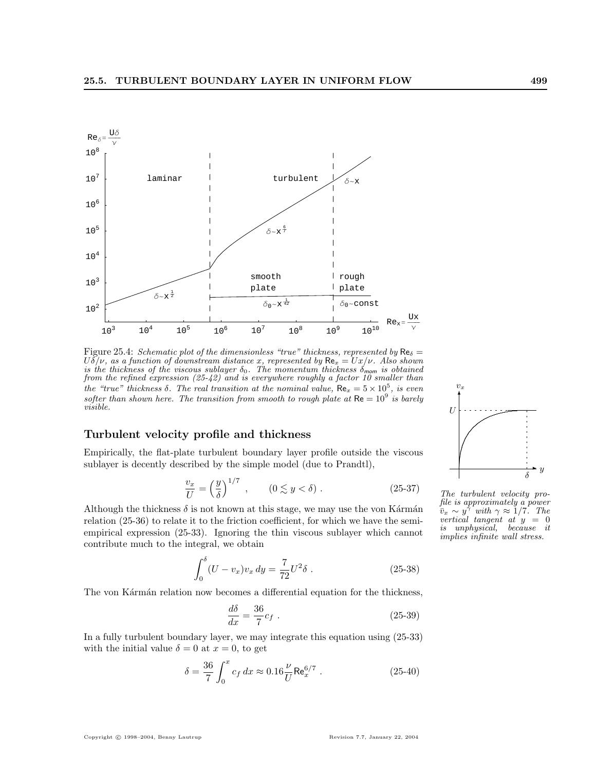

Figure 25.4: Schematic plot of the dimensionless "true" thickness, represented by  $\text{Re}_{\delta} =$  $U\delta/\nu$ , as a function of downstream distance x, represented by  $\text{Re}_x = Ux/\nu$ . Also shown is the thickness of the viscous sublayer  $\delta_0$ . The momentum thickness  $\delta_{\text{mom}}$  is obtained from the refined expression (25-42) and is everywhere roughly a factor 10 smaller than the "true" thickness  $\delta$ . The real transition at the nominal value,  $\text{Re}_x = 5 \times 10^5$ , is even softer than shown here. The transition from smooth to rough plate at  $\text{Re} = 10^9$  is barely visible.

#### Turbulent velocity profile and thickness

Empirically, the flat-plate turbulent boundary layer profile outside the viscous sublayer is decently described by the simple model (due to Prandtl),

$$
\frac{v_x}{U} = \left(\frac{y}{\delta}\right)^{1/7}, \qquad (0 \lesssim y < \delta). \tag{25-37}
$$

Although the thickness  $\delta$  is not known at this stage, we may use the von Kármán relation (25-36) to relate it to the friction coefficient, for which we have the semiempirical expression (25-33). Ignoring the thin viscous sublayer which cannot contribute much to the integral, we obtain

$$
\int_0^\delta (U - v_x)v_x \, dy = \frac{7}{72}U^2 \delta \tag{25-38}
$$

The von Kármán relation now becomes a differential equation for the thickness,

$$
\frac{d\delta}{dx} = \frac{36}{7}c_f \tag{25-39}
$$

In a fully turbulent boundary layer, we may integrate this equation using (25-33) with the initial value  $\delta = 0$  at  $x = 0$ , to get

$$
\delta = \frac{36}{7} \int_0^x c_f dx \approx 0.16 \frac{\nu}{U} \text{Re}_x^{6/7} .
$$
 (25-40)



The turbulent velocity profile is approximately a power  $\bar{v}_x \sim y^{\gamma}$  with  $\gamma \approx 1/7$ . The vertical tangent at  $y = 0$ is unphysical, because it implies infinite wall stress.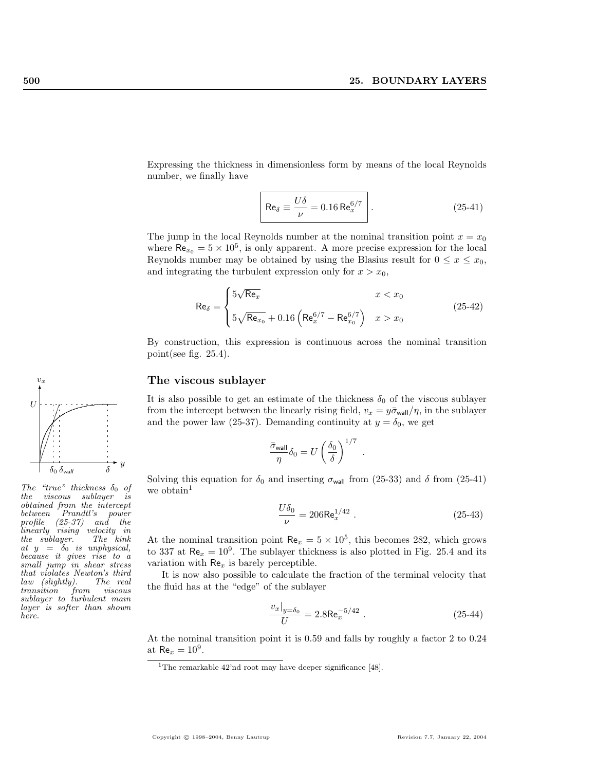Expressing the thickness in dimensionless form by means of the local Reynolds number, we finally have

$$
\text{Re}_{\delta} \equiv \frac{U\delta}{\nu} = 0.16 \text{ Re}_{x}^{6/7} \qquad (25-41)
$$

The jump in the local Reynolds number at the nominal transition point  $x = x_0$ where  $\text{Re}_{x_0} = 5 \times 10^5$ , is only apparent. A more precise expression for the local Reynolds number may be obtained by using the Blasius result for  $0 \le x \le x_0$ , and integrating the turbulent expression only for  $x > x_0$ ,

$$
\text{Re}_{\delta} = \begin{cases} 5\sqrt{\text{Re}_x} & x < x_0 \\ 5\sqrt{\text{Re}_{x_0}} + 0.16\left(\text{Re}_x^{6/7} - \text{Re}_{x_0}^{6/7}\right) & x > x_0 \end{cases}
$$
(25-42)

By construction, this expression is continuous across the nominal transition point(see fig. 25.4).

#### The viscous sublayer

It is also possible to get an estimate of the thickness  $\delta_0$  of the viscous sublayer from the intercept between the linearly rising field,  $v_x = y\bar{\sigma}_{wall}/\eta$ , in the sublayer and the power law (25-37). Demanding continuity at  $y = \delta_0$ , we get

$$
\frac{\bar{\sigma}_{\rm wall}}{\eta}\delta_0=U\left(\frac{\delta_0}{\delta}\right)^{1/7}\ .
$$

Solving this equation for  $\delta_0$  and inserting  $\sigma_{\text{wall}}$  from (25-33) and  $\delta$  from (25-41) we obtain<sup>1</sup>

$$
\frac{U\delta_0}{\nu} = 206 \text{Re}_x^{1/42} \tag{25-43}
$$

At the nominal transition point  $\text{Re}_x = 5 \times 10^5$ , this becomes 282, which grows to 337 at  $\text{Re}_x = 10^9$ . The sublayer thickness is also plotted in Fig. 25.4 and its variation with  $Re<sub>x</sub>$  is barely perceptible.

It is now also possible to calculate the fraction of the terminal velocity that the fluid has at the "edge" of the sublayer

$$
\frac{v_x|_{y=\delta_0}}{U} = 2.8 \text{Re}_x^{-5/42} . \tag{25-44}
$$

At the nominal transition point it is 0.59 and falls by roughly a factor 2 to 0.24 at  $\text{Re}_x = 10^9$ .

The "true" thickness  $\delta_0$  of the viscous sublayer is obtained from the intercept between Prandtl's power profile (25-37) and the linearly rising velocity in<br>the sublayer. The kink  $the$  sublayer. at  $y = \delta_0$  is unphysical, because it gives rise to a small jump in shear stress that violates Newton's third<br>law (slightly). The real  $law$  (slightly). transition from viscous sublayer to turbulent main layer is softer than shown here.

<sup>&</sup>lt;sup>1</sup>The remarkable  $42'$ nd root may have deeper significance [48].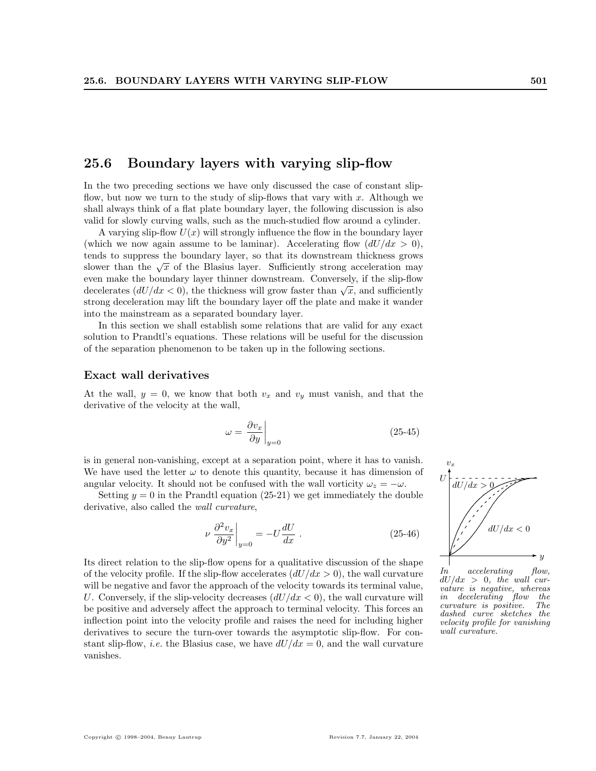# 25.6 Boundary layers with varying slip-flow

In the two preceding sections we have only discussed the case of constant slipflow, but now we turn to the study of slip-flows that vary with  $x$ . Although we shall always think of a flat plate boundary layer, the following discussion is also valid for slowly curving walls, such as the much-studied flow around a cylinder.

A varying slip-flow  $U(x)$  will strongly influence the flow in the boundary layer (which we now again assume to be laminar). Accelerating flow  $(dU/dx > 0)$ , tends to suppress the boundary layer, so that its downstream thickness grows slower than the  $\sqrt{x}$  of the Blasius layer. Sufficiently strong acceleration may even make the boundary layer thinner downstream. Conversely, if the slip-flow even make the boundary layer thinner downstream. Conversely, if the sup-now<br>decelerates  $(dU/dx < 0)$ , the thickness will grow faster than  $\sqrt{x}$ , and sufficiently strong deceleration may lift the boundary layer off the plate and make it wander into the mainstream as a separated boundary layer.

In this section we shall establish some relations that are valid for any exact solution to Prandtl's equations. These relations will be useful for the discussion of the separation phenomenon to be taken up in the following sections.

#### Exact wall derivatives

At the wall,  $y = 0$ , we know that both  $v_x$  and  $v_y$  must vanish, and that the derivative of the velocity at the wall,

$$
\omega = \left. \frac{\partial v_x}{\partial y} \right|_{y=0} \tag{25-45}
$$

is in general non-vanishing, except at a separation point, where it has to vanish. We have used the letter  $\omega$  to denote this quantity, because it has dimension of angular velocity. It should not be confused with the wall vorticity  $\omega_z = -\omega$ .

Setting  $y = 0$  in the Prandtl equation (25-21) we get immediately the double derivative, also called the *wall curvature*,

$$
\nu \left. \frac{\partial^2 v_x}{\partial y^2} \right|_{y=0} = -U \frac{dU}{dx} . \tag{25-46}
$$

Its direct relation to the slip-flow opens for a qualitative discussion of the shape of the velocity profile. If the slip-flow accelerates  $(dU/dx > 0)$ , the wall curvature will be negative and favor the approach of the velocity towards its terminal value, U. Conversely, if the slip-velocity decreases  $(dU/dx < 0)$ , the wall curvature will be positive and adversely affect the approach to terminal velocity. This forces an inflection point into the velocity profile and raises the need for including higher derivatives to secure the turn-over towards the asymptotic slip-flow. For constant slip-flow, *i.e.* the Blasius case, we have  $dU/dx = 0$ , and the wall curvature vanishes.



In accelerating flow,  $dU/dx > 0$ , the wall curvature is negative, whereas<br>in decelerating flow the in decelerating flow the curvature is positive. The dashed curve sketches the velocity profile for vanishing wall curvature.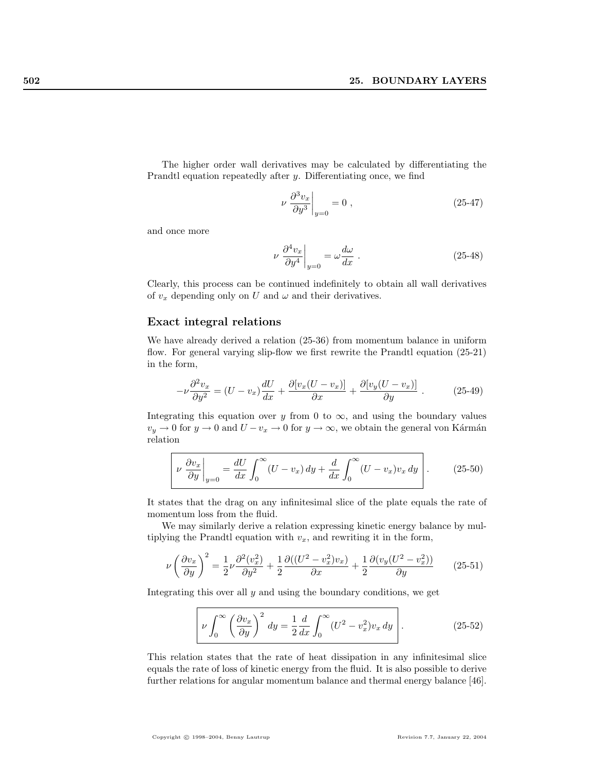The higher order wall derivatives may be calculated by differentiating the Prandtl equation repeatedly after y. Differentiating once, we find

$$
\nu \left. \frac{\partial^3 v_x}{\partial y^3} \right|_{y=0} = 0 , \qquad (25-47)
$$

and once more

$$
\nu \left. \frac{\partial^4 v_x}{\partial y^4} \right|_{y=0} = \omega \frac{d\omega}{dx} . \tag{25-48}
$$

Clearly, this process can be continued indefinitely to obtain all wall derivatives of  $v_x$  depending only on U and  $\omega$  and their derivatives.

#### Exact integral relations

We have already derived a relation (25-36) from momentum balance in uniform flow. For general varying slip-flow we first rewrite the Prandtl equation (25-21) in the form,

$$
-\nu \frac{\partial^2 v_x}{\partial y^2} = (U - v_x) \frac{dU}{dx} + \frac{\partial [v_x (U - v_x)]}{\partial x} + \frac{\partial [v_y (U - v_x)]}{\partial y}.
$$
 (25-49)

Integrating this equation over y from 0 to  $\infty$ , and using the boundary values  $v_y \to 0$  for  $y \to 0$  and  $U - v_x \to 0$  for  $y \to \infty$ , we obtain the general von Kármán relation

$$
\left[\nu \frac{\partial v_x}{\partial y}\right]_{y=0} = \frac{dU}{dx} \int_0^\infty (U - v_x) \, dy + \frac{d}{dx} \int_0^\infty (U - v_x) v_x \, dy\right]. \tag{25-50}
$$

It states that the drag on any infinitesimal slice of the plate equals the rate of momentum loss from the fluid.

We may similarly derive a relation expressing kinetic energy balance by multiplying the Prandtl equation with  $v_x$ , and rewriting it in the form,

$$
\nu \left(\frac{\partial v_x}{\partial y}\right)^2 = \frac{1}{2}\nu \frac{\partial^2 (v_x^2)}{\partial y^2} + \frac{1}{2}\frac{\partial ((U^2 - v_x^2)v_x)}{\partial x} + \frac{1}{2}\frac{\partial (v_y(U^2 - v_x^2))}{\partial y}
$$
(25-51)

Integrating this over all  $y$  and using the boundary conditions, we get

$$
\boxed{\nu \int_0^\infty \left(\frac{\partial v_x}{\partial y}\right)^2 dy = \frac{1}{2} \frac{d}{dx} \int_0^\infty (U^2 - v_x^2) v_x \, dy} \,. \tag{25-52}
$$

This relation states that the rate of heat dissipation in any infinitesimal slice equals the rate of loss of kinetic energy from the fluid. It is also possible to derive further relations for angular momentum balance and thermal energy balance [46].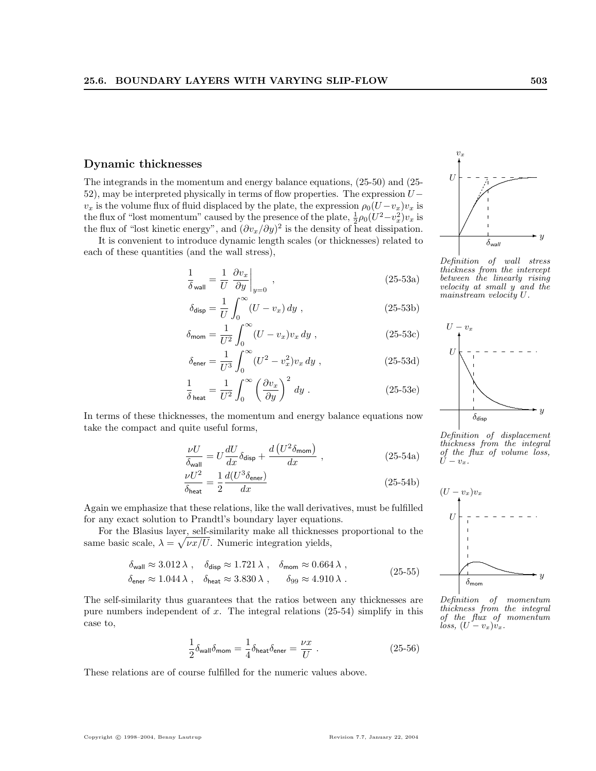#### Dynamic thicknesses

The integrands in the momentum and energy balance equations, (25-50) and (25- 52), may be interpreted physically in terms of flow properties. The expression U−  $v_x$  is the volume flux of fluid displaced by the plate, the expression  $\rho_0(U-v_x)v_x$  is the flux of "lost momentum" caused by the presence of the plate,  $\frac{1}{2}\rho_0(U^2-v_x^2)v_x$  is the flux of "lost kinetic energy", and  $(\partial v_x/\partial y)^2$  is the density of heat dissipation.

It is convenient to introduce dynamic length scales (or thicknesses) related to each of these quantities (and the wall stress),

$$
\frac{1}{\delta_{\text{wall}}} = \frac{1}{U} \left. \frac{\partial v_x}{\partial y} \right|_{y=0}, \qquad (25-53a)
$$

$$
\delta_{\text{disp}} = \frac{1}{U} \int_0^\infty (U - v_x) \, dy \tag{25-53b}
$$

$$
\delta_{\text{mom}} = \frac{1}{U^2} \int_0^\infty (U - v_x) v_x \, dy \;, \tag{25-53c}
$$

$$
\delta_{\text{ener}} = \frac{1}{U^3} \int_0^\infty (U^2 - v_x^2) v_x \, dy \tag{25-53d}
$$

$$
\frac{1}{\delta_{\text{heat}}} = \frac{1}{U^2} \int_0^\infty \left(\frac{\partial v_x}{\partial y}\right)^2 dy \tag{25-53e}
$$

In terms of these thicknesses, the momentum and energy balance equations now take the compact and quite useful forms,

$$
\frac{\nu U}{\delta_{\text{wall}}} = U \frac{dU}{dx} \delta_{\text{disp}} + \frac{d\left(U^2 \delta_{\text{mom}}\right)}{dx} , \qquad (25-54a)
$$

$$
\frac{\nu U^2}{\delta_{\text{heat}}} = \frac{1}{2} \frac{d(U^3 \delta_{\text{ener}})}{dx} \tag{25-54b}
$$

Again we emphasize that these relations, like the wall derivatives, must be fulfilled  $U$ for any exact solution to Prandtl's boundary layer equations.

For the Blasius layer, self-similarity make all thicknesses proportional to the same basic scale,  $\lambda = \sqrt{\nu x}/U$ . Numeric integration yields,

$$
\delta_{\text{wall}} \approx 3.012 \,\lambda \,, \quad \delta_{\text{disp}} \approx 1.721 \,\lambda \,, \quad \delta_{\text{mom}} \approx 0.664 \,\lambda \,,
$$
\n
$$
\delta_{\text{ener}} \approx 1.044 \,\lambda \,, \quad \delta_{\text{heat}} \approx 3.830 \,\lambda \,, \qquad \delta_{99} \approx 4.910 \,\lambda \,. \tag{25-55}
$$

The self-similarity thus guarantees that the ratios between any thicknesses are pure numbers independent of  $x$ . The integral relations (25-54) simplify in this case to,

$$
\frac{1}{2}\delta_{\text{wall}}\delta_{\text{mom}} = \frac{1}{4}\delta_{\text{heat}}\delta_{\text{ener}} = \frac{\nu x}{U} \ . \tag{25-56}
$$

These relations are of course fulfilled for the numeric values above.



Definition of wall stress thickness from the intercept between the linearly rising velocity at small y and the mainstream velocity U.



Definition of displacement thickness from the integral of the flux of volume loss,  $-v_x.$ 



Definition of momentum thickness from the integral of the flux of momentum loss,  $(U - v_x)v_x$ .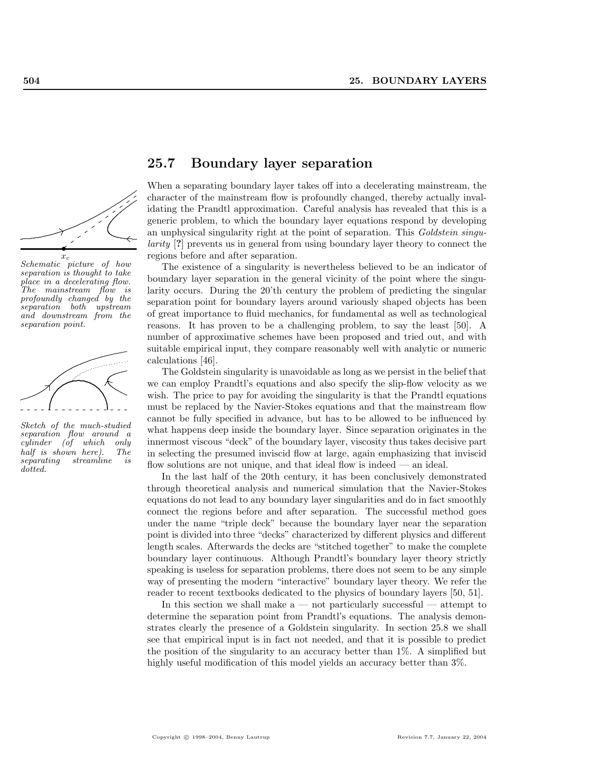

Schematic picture of how separation is thought to take place in a decelerating flow. The mainstream flow is profoundly changed by the separation both upstream and downstream from the separation point.



Sketch of the much-studied separation flow around a<br>cylinder (of which only  $cylinder$  (of which half is shown here). The<br>separating streamline is  $streamline$  is dotted.

# 25.7 Boundary layer separation

When a separating boundary layer takes off into a decelerating mainstream, the character of the mainstream flow is profoundly changed, thereby actually invalidating the Prandtl approximation. Careful analysis has revealed that this is a generic problem, to which the boundary layer equations respond by developing an unphysical singularity right at the point of separation. This Goldstein singularity [?] prevents us in general from using boundary layer theory to connect the regions before and after separation.

The existence of a singularity is nevertheless believed to be an indicator of boundary layer separation in the general vicinity of the point where the singularity occurs. During the 20'th century the problem of predicting the singular separation point for boundary layers around variously shaped objects has been of great importance to fluid mechanics, for fundamental as well as technological reasons. It has proven to be a challenging problem, to say the least [50]. A number of approximative schemes have been proposed and tried out, and with suitable empirical input, they compare reasonably well with analytic or numeric calculations [46].

The Goldstein singularity is unavoidable as long as we persist in the belief that we can employ Prandtl's equations and also specify the slip-flow velocity as we wish. The price to pay for avoiding the singularity is that the Prandtl equations must be replaced by the Navier-Stokes equations and that the mainstream flow cannot be fully specified in advance, but has to be allowed to be influenced by what happens deep inside the boundary layer. Since separation originates in the innermost viscous "deck" of the boundary layer, viscosity thus takes decisive part in selecting the presumed inviscid flow at large, again emphasizing that inviscid flow solutions are not unique, and that ideal flow is indeed — an ideal.

In the last half of the 20th century, it has been conclusively demonstrated through theoretical analysis and numerical simulation that the Navier-Stokes equations do not lead to any boundary layer singularities and do in fact smoothly connect the regions before and after separation. The successful method goes under the name "triple deck" because the boundary layer near the separation point is divided into three "decks" characterized by different physics and different length scales. Afterwards the decks are "stitched together" to make the complete boundary layer continuous. Although Prandtl's boundary layer theory strictly speaking is useless for separation problems, there does not seem to be any simple way of presenting the modern "interactive" boundary layer theory. We refer the reader to recent textbooks dedicated to the physics of boundary layers [50, 51].

In this section we shall make  $a$  — not particularly successful — attempt to determine the separation point from Prandtl's equations. The analysis demonstrates clearly the presence of a Goldstein singularity. In section 25.8 we shall see that empirical input is in fact not needed, and that it is possible to predict the position of the singularity to an accuracy better than 1%. A simplified but highly useful modification of this model yields an accuracy better than  $3\%$ .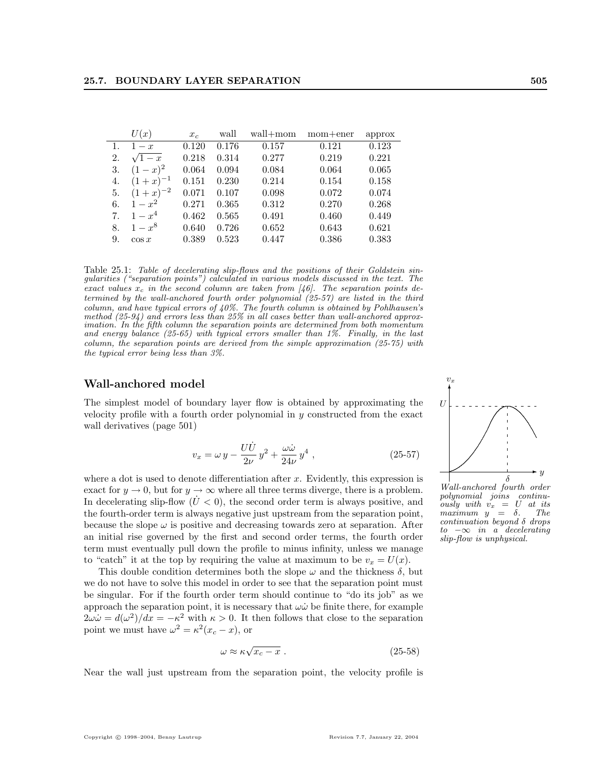|    | U(x)         | $x_c$ | wall  | wall+mom | $mom + ener$ | approx |
|----|--------------|-------|-------|----------|--------------|--------|
| 1. | $1-x$        | 0.120 | 0.176 | 0.157    | 0.121        | 0.123  |
| 2. | $\sqrt{1-x}$ | 0.218 | 0.314 | 0.277    | 0.219        | 0.221  |
| 3. | $(1-x)^2$    | 0.064 | 0.094 | 0.084    | 0.064        | 0.065  |
| 4. | $(1+x)^{-1}$ | 0.151 | 0.230 | 0.214    | 0.154        | 0.158  |
| 5. | $(1+x)^{-2}$ | 0.071 | 0.107 | 0.098    | 0.072        | 0.074  |
| 6. | $1 - x^2$    | 0.271 | 0.365 | 0.312    | 0.270        | 0.268  |
| 7. | $1 - x^4$    | 0.462 | 0.565 | 0.491    | 0.460        | 0.449  |
| 8. | $1 - x^8$    | 0.640 | 0.726 | 0.652    | 0.643        | 0.621  |
| 9. | $\cos x$     | 0.389 | 0.523 | 0.447    | 0.386        | 0.383  |

Table 25.1: Table of decelerating slip-flows and the positions of their Goldstein singularities ("separation points") calculated in various models discussed in the text. The exact values  $x_c$  in the second column are taken from [46]. The separation points determined by the wall-anchored fourth order polynomial (25-57) are listed in the third column, and have typical errors of 40%. The fourth column is obtained by Pohlhausen's method  $(25-94)$  and errors less than 25% in all cases better than wall-anchored approximation. In the fifth column the separation points are determined from both momentum and energy balance (25-65) with typical errors smaller than 1%. Finally, in the last column, the separation points are derived from the simple approximation (25-75) with the typical error being less than 3%.

#### Wall-anchored model

The simplest model of boundary layer flow is obtained by approximating the velocity profile with a fourth order polynomial in y constructed from the exact wall derivatives (page 501)

$$
v_x = \omega y - \frac{U\dot{U}}{2\nu}y^2 + \frac{\omega\dot{\omega}}{24\nu}y^4,
$$
 (25-57)

where a dot is used to denote differentiation after x. Evidently, this expression is exact for  $y \to 0$ , but for  $y \to \infty$  where all three terms diverge, there is a problem. In decelerating slip-flow  $(U < 0)$ , the second order term is always positive, and the fourth-order term is always negative just upstream from the separation point, because the slope  $\omega$  is positive and decreasing towards zero at separation. After an initial rise governed by the first and second order terms, the fourth order term must eventually pull down the profile to minus infinity, unless we manage to "catch" it at the top by requiring the value at maximum to be  $v_x = U(x)$ .

This double condition determines both the slope  $\omega$  and the thickness  $\delta$ , but we do not have to solve this model in order to see that the separation point must be singular. For if the fourth order term should continue to "do its job" as we approach the separation point, it is necessary that  $\omega\dot{\omega}$  be finite there, for example  $2\omega\dot{\omega} = d(\omega^2)/dx = -\kappa^2$  with  $\kappa > 0$ . It then follows that close to the separation point we must have  $\omega^2 = \kappa^2 (x_c - x)$ , or

$$
\omega \approx \kappa \sqrt{x_c - x} \ . \tag{25-58}
$$

Near the wall just upstream from the separation point, the velocity profile is



Wall-anchored fourth order polynomial joins continuously with v<sup>x</sup> = U at its maximum  $y = \delta$ . continuation beyond  $\delta$  drops  $to \ -\infty$  in a decelerating slip-flow is unphysical.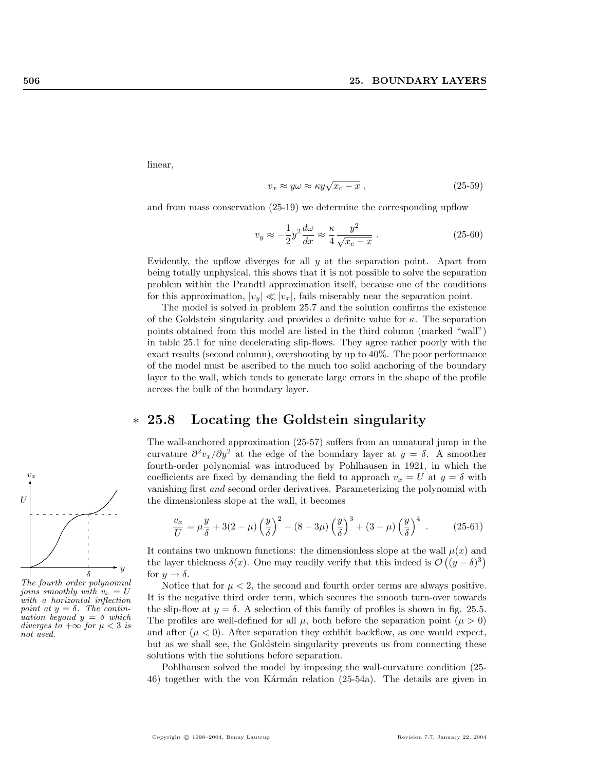linear,

$$
v_x \approx y\omega \approx \kappa y \sqrt{x_c - x} \,,\tag{25-59}
$$

and from mass conservation (25-19) we determine the corresponding upflow

$$
v_y \approx -\frac{1}{2}y^2 \frac{d\omega}{dx} \approx \frac{\kappa}{4} \frac{y^2}{\sqrt{x_c - x}}.
$$
 (25-60)

Evidently, the upflow diverges for all  $y$  at the separation point. Apart from being totally unphysical, this shows that it is not possible to solve the separation problem within the Prandtl approximation itself, because one of the conditions for this approximation,  $|v_y| \ll |v_x|$ , fails miserably near the separation point.

The model is solved in problem 25.7 and the solution confirms the existence of the Goldstein singularity and provides a definite value for  $\kappa$ . The separation points obtained from this model are listed in the third column (marked "wall") in table 25.1 for nine decelerating slip-flows. They agree rather poorly with the exact results (second column), overshooting by up to 40%. The poor performance of the model must be ascribed to the much too solid anchoring of the boundary layer to the wall, which tends to generate large errors in the shape of the profile across the bulk of the boundary layer.

# ∗ 25.8 Locating the Goldstein singularity

The wall-anchored approximation (25-57) suffers from an unnatural jump in the curvature  $\partial^2 v_x/\partial y^2$  at the edge of the boundary layer at  $y = \delta$ . A smoother fourth-order polynomial was introduced by Pohlhausen in 1921, in which the coefficients are fixed by demanding the field to approach  $v_x = U$  at  $y = \delta$  with vanishing first and second order derivatives. Parameterizing the polynomial with the dimensionless slope at the wall, it becomes

$$
\frac{v_x}{U} = \mu \frac{y}{\delta} + 3(2 - \mu) \left(\frac{y}{\delta}\right)^2 - (8 - 3\mu) \left(\frac{y}{\delta}\right)^3 + (3 - \mu) \left(\frac{y}{\delta}\right)^4 \tag{25-61}
$$

It contains two unknown functions: the dimensionless slope at the wall  $\mu(x)$  and the layer thickness  $\delta(x)$ . One may readily verify that this indeed is  $\mathcal{O}((y-\delta)^3)$ for  $y \rightarrow \delta$ .

Notice that for  $\mu < 2$ , the second and fourth order terms are always positive. It is the negative third order term, which secures the smooth turn-over towards the slip-flow at  $y = \delta$ . A selection of this family of profiles is shown in fig. 25.5. The profiles are well-defined for all  $\mu$ , both before the separation point  $(\mu > 0)$ and after  $(\mu < 0)$ . After separation they exhibit backflow, as one would expect, but as we shall see, the Goldstein singularity prevents us from connecting these solutions with the solutions before separation.

Pohlhausen solved the model by imposing the wall-curvature condition (25- 46) together with the von Kármán relation (25-54a). The details are given in



The fourth order polynomial joins smoothly with  $v_x = U$ with a horizontal inflection point at  $y = \delta$ . The continuation beyond  $y = \delta$  which diverges to  $+\infty$  for  $\mu$  < 3 is not used.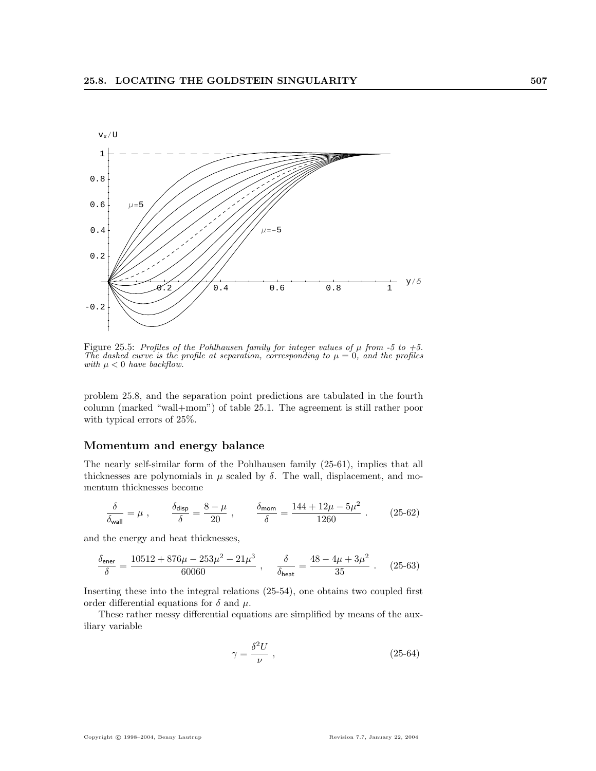

Figure 25.5: Profiles of the Pohlhausen family for integer values of  $\mu$  from -5 to +5. The dashed curve is the profile at separation, corresponding to  $\mu = 0$ , and the profiles with  $\mu < 0$  have backflow.

problem 25.8, and the separation point predictions are tabulated in the fourth column (marked "wall+mom") of table 25.1. The agreement is still rather poor with typical errors of 25%.

#### Momentum and energy balance

The nearly self-similar form of the Pohlhausen family (25-61), implies that all thicknesses are polynomials in  $\mu$  scaled by  $\delta$ . The wall, displacement, and momentum thicknesses become

$$
\frac{\delta}{\delta_{\rm wall}} = \mu \ , \qquad \frac{\delta_{\rm disp}}{\delta} = \frac{8 - \mu}{20} \ , \qquad \frac{\delta_{\rm mom}}{\delta} = \frac{144 + 12 \mu - 5 \mu^2}{1260} \ . \eqno(25-62)
$$

and the energy and heat thicknesses,

$$
\frac{\delta_{\text{ener}}}{\delta} = \frac{10512 + 876\mu - 253\mu^2 - 21\mu^3}{60060} \ , \quad \frac{\delta}{\delta_{\text{heat}}} = \frac{48 - 4\mu + 3\mu^2}{35} \ . \quad (25-63)
$$

Inserting these into the integral relations (25-54), one obtains two coupled first order differential equations for  $\delta$  and  $\mu$ .

These rather messy differential equations are simplified by means of the auxiliary variable

$$
\gamma = \frac{\delta^2 U}{\nu} \;, \tag{25-64}
$$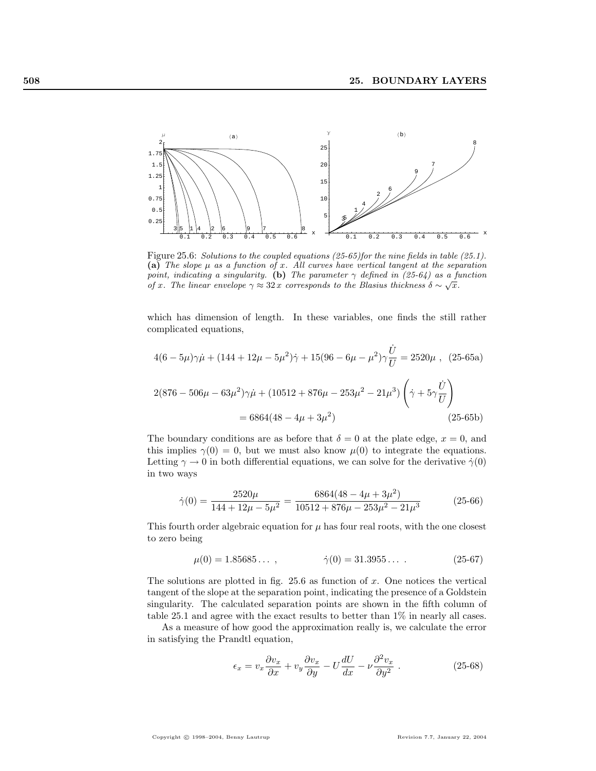

Figure 25.6: Solutions to the coupled equations (25-65)for the nine fields in table (25.1). (a) The slope  $\mu$  as a function of x. All curves have vertical tangent at the separation point, indicating a singularity. (b) The parameter  $\gamma$  defined in (25-64) as a function of x. The linear envelope  $\gamma \approx 32 x$  corresponds to the Blasius thickness  $\delta \sim \sqrt{x}$ .

which has dimension of length. In these variables, one finds the still rather complicated equations,

$$
4(6 - 5\mu)\gamma\dot{\mu} + (144 + 12\mu - 5\mu^2)\dot{\gamma} + 15(96 - 6\mu - \mu^2)\gamma\frac{\dot{U}}{U} = 2520\mu , (25-65a)
$$
  

$$
2(876 - 506\mu - 63\mu^2)\gamma\dot{\mu} + (10512 + 876\mu - 253\mu^2 - 21\mu^3)\left(\dot{\gamma} + 5\gamma\frac{\dot{U}}{U}\right)
$$
  

$$
= 6864(48 - 4\mu + 3\mu^2)
$$
 (25-65b)

The boundary conditions are as before that  $\delta = 0$  at the plate edge,  $x = 0$ , and this implies  $\gamma(0) = 0$ , but we must also know  $\mu(0)$  to integrate the equations. Letting  $\gamma \to 0$  in both differential equations, we can solve for the derivative  $\dot{\gamma}(0)$ in two ways

$$
\dot{\gamma}(0) = \frac{2520\mu}{144 + 12\mu - 5\mu^2} = \frac{6864(48 - 4\mu + 3\mu^2)}{10512 + 876\mu - 253\mu^2 - 21\mu^3}
$$
(25-66)

This fourth order algebraic equation for  $\mu$  has four real roots, with the one closest to zero being

$$
\mu(0) = 1.85685\ldots , \qquad \dot{\gamma}(0) = 31.3955\ldots . \qquad (25-67)
$$

The solutions are plotted in fig.  $25.6$  as function of x. One notices the vertical tangent of the slope at the separation point, indicating the presence of a Goldstein singularity. The calculated separation points are shown in the fifth column of table 25.1 and agree with the exact results to better than 1% in nearly all cases.

As a measure of how good the approximation really is, we calculate the error in satisfying the Prandtl equation,

$$
\epsilon_x = v_x \frac{\partial v_x}{\partial x} + v_y \frac{\partial v_x}{\partial y} - U \frac{dU}{dx} - \nu \frac{\partial^2 v_x}{\partial y^2} . \tag{25-68}
$$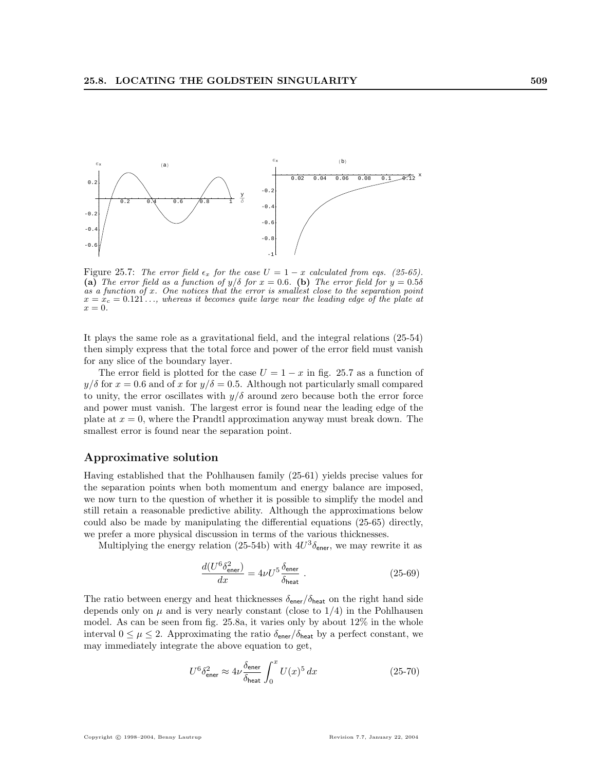

Figure 25.7: The error field  $\epsilon_x$  for the case  $U = 1 - x$  calculated from eqs. (25-65). (a) The error field as a function of  $y/\delta$  for  $x = 0.6$ . (b) The error field for  $y = 0.5\delta$  $\alpha s'$  a function of x. One notices that the error is smallest close to the separation point  $x = x_c = 0.121...$ , whereas it becomes quite large near the leading edge of the plate at  $x=0.$ 

It plays the same role as a gravitational field, and the integral relations (25-54) then simply express that the total force and power of the error field must vanish for any slice of the boundary layer.

The error field is plotted for the case  $U = 1 - x$  in fig. 25.7 as a function of  $y/\delta$  for  $x = 0.6$  and of x for  $y/\delta = 0.5$ . Although not particularly small compared to unity, the error oscillates with  $y/\delta$  around zero because both the error force and power must vanish. The largest error is found near the leading edge of the plate at  $x = 0$ , where the Prandtl approximation anyway must break down. The smallest error is found near the separation point.

#### Approximative solution

Having established that the Pohlhausen family (25-61) yields precise values for the separation points when both momentum and energy balance are imposed, we now turn to the question of whether it is possible to simplify the model and still retain a reasonable predictive ability. Although the approximations below could also be made by manipulating the differential equations (25-65) directly, we prefer a more physical discussion in terms of the various thicknesses.

Multiplying the energy relation (25-54b) with  $4U^3 \delta_{\text{ener}}$ , we may rewrite it as

$$
\frac{d(U^6 \delta_{\text{ener}}^2)}{dx} = 4\nu U^5 \frac{\delta_{\text{ener}}}{\delta_{\text{heat}}} \ . \tag{25-69}
$$

The ratio between energy and heat thicknesses  $\delta_{\text{ener}}/\delta_{\text{heat}}$  on the right hand side depends only on  $\mu$  and is very nearly constant (close to  $1/4$ ) in the Pohlhausen model. As can be seen from fig. 25.8a, it varies only by about 12% in the whole interval  $0 \leq \mu \leq 2$ . Approximating the ratio  $\delta_{\text{ener}}/\delta_{\text{heat}}$  by a perfect constant, we may immediately integrate the above equation to get,

$$
U^6 \delta_{\text{ener}}^2 \approx 4\nu \frac{\delta_{\text{ener}}}{\delta_{\text{heat}}} \int_0^x U(x)^5 dx \tag{25-70}
$$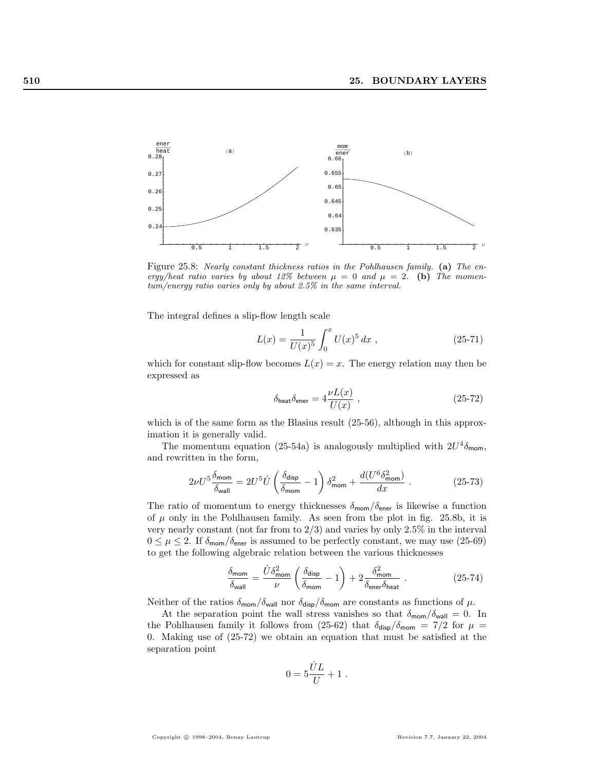

Figure 25.8: Nearly constant thickness ratios in the Pohlhausen family. (a) The energy/heat ratio varies by about 12% between  $\mu = 0$  and  $\mu = 2$ . (b) The momentum/energy ratio varies only by about 2.5% in the same interval.

The integral defines a slip-flow length scale

$$
L(x) = \frac{1}{U(x)^5} \int_0^x U(x)^5 dx , \qquad (25-71)
$$

which for constant slip-flow becomes  $L(x) = x$ . The energy relation may then be expressed as

$$
\delta_{\text{heat}} \delta_{\text{ener}} = 4 \frac{\nu L(x)}{U(x)} \,, \tag{25-72}
$$

which is of the same form as the Blasius result  $(25-56)$ , although in this approximation it is generally valid.

The momentum equation (25-54a) is analogously multiplied with  $2U^4\delta_{\text{mom}}$ , and rewritten in the form,

$$
2\nu U^5 \frac{\delta_{\rm mom}}{\delta_{\rm wall}} = 2 U^5 \dot U \left(\frac{\delta_{\rm disp}}{\delta_{\rm mom}} - 1\right) \delta_{\rm mom}^2 + \frac{d(U^6 \delta_{\rm mom}^2)}{dx} \ . \eqno(25-73)
$$

The ratio of momentum to energy thicknesses  $\delta_{\text{mom}}/\delta_{\text{ener}}$  is likewise a function of  $\mu$  only in the Pohlhausen family. As seen from the plot in fig. 25.8b, it is very nearly constant (not far from to 2/3) and varies by only 2.5% in the interval  $0 \leq \mu \leq 2$ . If  $\delta_{\text{mom}}/\delta_{\text{ener}}$  is assumed to be perfectly constant, we may use (25-69) to get the following algebraic relation between the various thicknesses

$$
\frac{\delta_{\text{mom}}}{\delta_{\text{wall}}} = \frac{\dot{U}\delta_{\text{mom}}^2}{\nu} \left(\frac{\delta_{\text{disp}}}{\delta_{\text{mom}}} - 1\right) + 2\frac{\delta_{\text{mom}}^2}{\delta_{\text{ener}}\delta_{\text{heat}}} \ . \tag{25-74}
$$

Neither of the ratios  $\delta_{\text{mom}}/\delta_{\text{wall}}$  nor  $\delta_{\text{disp}}/\delta_{\text{mom}}$  are constants as functions of  $\mu$ .

At the separation point the wall stress vanishes so that  $\delta_{\text{mom}}/\delta_{\text{wall}} = 0$ . In the Pohlhausen family it follows from (25-62) that  $\delta_{\text{disp}}/\delta_{\text{mom}} = 7/2$  for  $\mu =$ 0. Making use of (25-72) we obtain an equation that must be satisfied at the separation point

$$
0=5\frac{\dot{U}L}{U}+1\ .
$$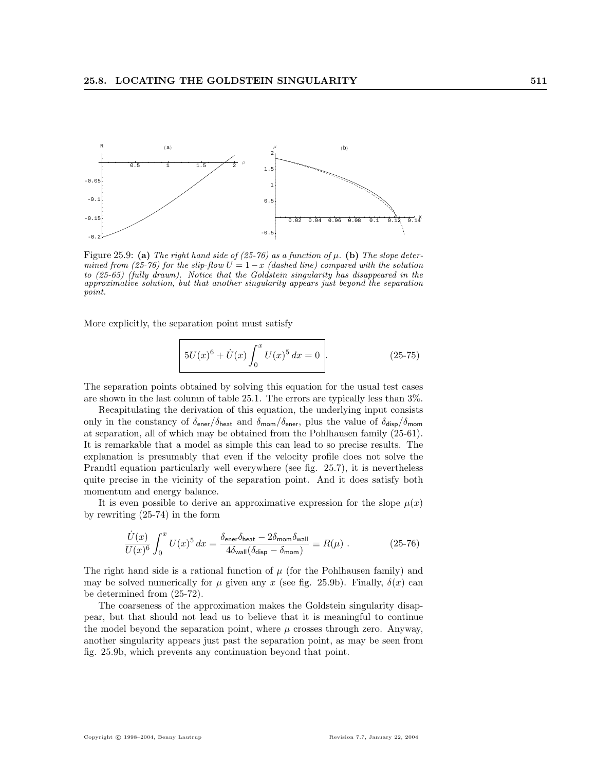

Figure 25.9: (a) The right hand side of (25-76) as a function of  $\mu$ . (b) The slope determined from (25-76) for the slip-flow  $U = 1-x$  (dashed line) compared with the solution to (25-65) (fully drawn). Notice that the Goldstein singularity has disappeared in the approximative solution, but that another singularity appears just beyond the separation point.

More explicitly, the separation point must satisfy

$$
5U(x)^{6} + U(x)\int_{0}^{x} U(x)^{5} dx = 0.
$$
 (25-75)

The separation points obtained by solving this equation for the usual test cases are shown in the last column of table 25.1. The errors are typically less than 3%.

Recapitulating the derivation of this equation, the underlying input consists only in the constancy of  $\delta_{\text{ener}}/\delta_{\text{heat}}$  and  $\delta_{\text{mom}}/\delta_{\text{ener}}$ , plus the value of  $\delta_{\text{disp}}/\delta_{\text{mom}}$ at separation, all of which may be obtained from the Pohlhausen family (25-61). It is remarkable that a model as simple this can lead to so precise results. The explanation is presumably that even if the velocity profile does not solve the Prandtl equation particularly well everywhere (see fig. 25.7), it is nevertheless quite precise in the vicinity of the separation point. And it does satisfy both momentum and energy balance.

It is even possible to derive an approximative expression for the slope  $\mu(x)$ by rewriting (25-74) in the form

$$
\frac{\dot{U}(x)}{U(x)^6} \int_0^x U(x)^5 dx = \frac{\delta_{\text{ener}} \delta_{\text{heat}} - 2\delta_{\text{mom}} \delta_{\text{wall}}}{4\delta_{\text{wall}}(\delta_{\text{disp}} - \delta_{\text{mom}})} \equiv R(\mu) . \tag{25-76}
$$

The right hand side is a rational function of  $\mu$  (for the Pohlhausen family) and may be solved numerically for  $\mu$  given any x (see fig. 25.9b). Finally,  $\delta(x)$  can be determined from (25-72).

The coarseness of the approximation makes the Goldstein singularity disappear, but that should not lead us to believe that it is meaningful to continue the model beyond the separation point, where  $\mu$  crosses through zero. Anyway, another singularity appears just past the separation point, as may be seen from fig. 25.9b, which prevents any continuation beyond that point.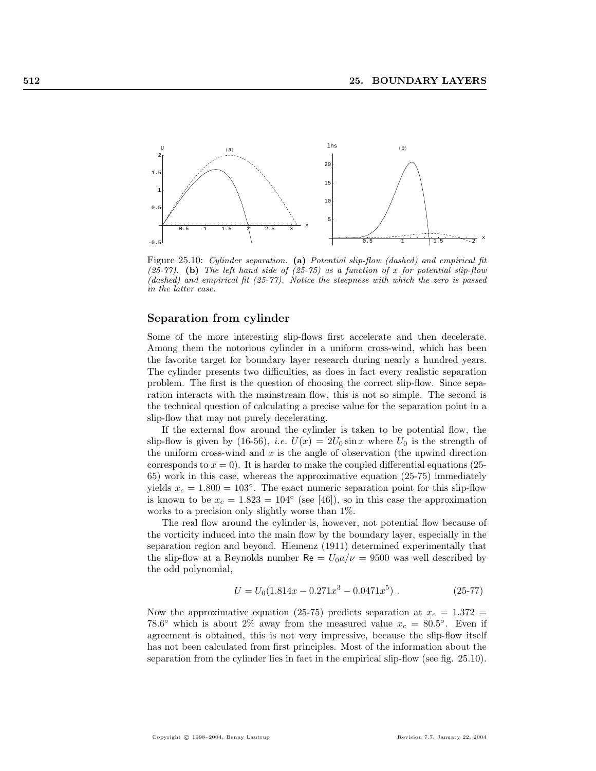

Figure 25.10: Cylinder separation. (a) Potential slip-flow (dashed) and empirical fit (25-77). (b) The left hand side of  $(25-75)$  as a function of x for potential slip-flow (dashed) and empirical fit  $(25-77)$ . Notice the steepness with which the zero is passed in the latter case.

#### Separation from cylinder

Some of the more interesting slip-flows first accelerate and then decelerate. Among them the notorious cylinder in a uniform cross-wind, which has been the favorite target for boundary layer research during nearly a hundred years. The cylinder presents two difficulties, as does in fact every realistic separation problem. The first is the question of choosing the correct slip-flow. Since separation interacts with the mainstream flow, this is not so simple. The second is the technical question of calculating a precise value for the separation point in a slip-flow that may not purely decelerating.

If the external flow around the cylinder is taken to be potential flow, the slip-flow is given by (16-56), *i.e.*  $U(x) = 2U_0 \sin x$  where  $U_0$  is the strength of the uniform cross-wind and  $x$  is the angle of observation (the upwind direction corresponds to  $x = 0$ ). It is harder to make the coupled differential equations (25-65) work in this case, whereas the approximative equation (25-75) immediately yields  $x_c = 1.800 = 103^\circ$ . The exact numeric separation point for this slip-flow is known to be  $x_c = 1.823 = 104°$  (see [46]), so in this case the approximation works to a precision only slightly worse than 1%.

The real flow around the cylinder is, however, not potential flow because of the vorticity induced into the main flow by the boundary layer, especially in the separation region and beyond. Hiemenz (1911) determined experimentally that the slip-flow at a Reynolds number  $\text{Re} = U_0 a/\nu = 9500$  was well described by the odd polynomial,

$$
U = U_0(1.814x - 0.271x^3 - 0.0471x^5) \tag{25-77}
$$

Now the approximative equation (25-75) predicts separation at  $x_c = 1.372$  = 78.6° which is about 2% away from the measured value  $x_c = 80.5$ °. Even if agreement is obtained, this is not very impressive, because the slip-flow itself has not been calculated from first principles. Most of the information about the separation from the cylinder lies in fact in the empirical slip-flow (see fig. 25.10).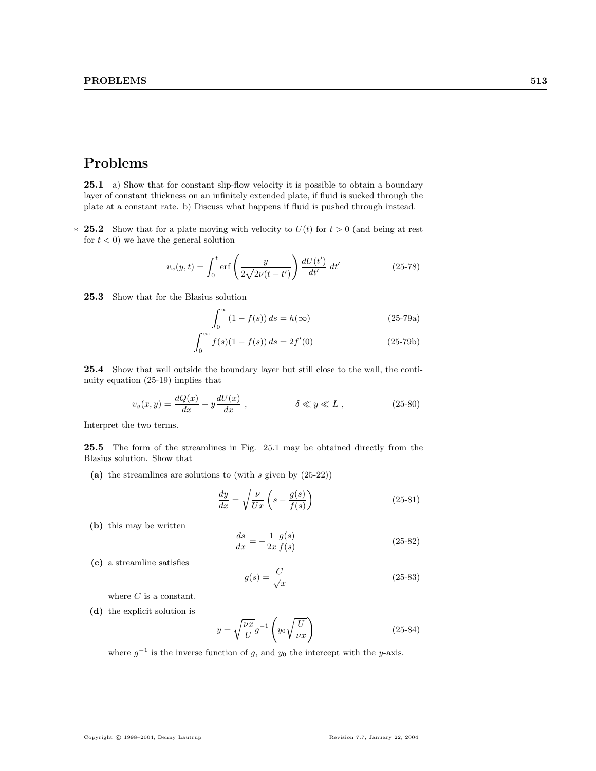# Problems

25.1 a) Show that for constant slip-flow velocity it is possible to obtain a boundary layer of constant thickness on an infinitely extended plate, if fluid is sucked through the plate at a constant rate. b) Discuss what happens if fluid is pushed through instead.

**\* 25.2** Show that for a plate moving with velocity to  $U(t)$  for  $t > 0$  (and being at rest for  $t < 0$ ) we have the general solution

$$
v_x(y,t) = \int_0^t \text{erf}\left(\frac{y}{2\sqrt{2\nu(t-t')}}\right) \frac{dU(t')}{dt'} dt' \tag{25-78}
$$

25.3 Show that for the Blasius solution

$$
\int_0^\infty (1 - f(s)) ds = h(\infty)
$$
 (25-79a)

$$
\int_0^\infty f(s)(1 - f(s)) ds = 2f'(0)
$$
 (25-79b)

25.4 Show that well outside the boundary layer but still close to the wall, the continuity equation (25-19) implies that

$$
v_y(x,y) = \frac{dQ(x)}{dx} - y\frac{dU(x)}{dx}, \qquad \delta \ll y \ll L, \qquad (25-80)
$$

Interpret the two terms.

25.5 The form of the streamlines in Fig. 25.1 may be obtained directly from the Blasius solution. Show that

(a) the streamlines are solutions to (with  $s$  given by  $(25-22)$ )

$$
\frac{dy}{dx} = \sqrt{\frac{\nu}{Ux}} \left( s - \frac{g(s)}{f(s)} \right) \tag{25-81}
$$

(b) this may be written

$$
\frac{ds}{dx} = -\frac{1}{2x} \frac{g(s)}{f(s)}
$$
\n(25-82)

(c) a streamline satisfies

$$
g(s) = \frac{C}{\sqrt{x}}\tag{25-83}
$$

where  $C$  is a constant.

(d) the explicit solution is

$$
y = \sqrt{\frac{\nu x}{U}} g^{-1} \left( y_0 \sqrt{\frac{U}{\nu x}} \right)
$$
 (25-84)

where  $g^{-1}$  is the inverse function of g, and y<sub>0</sub> the intercept with the y-axis.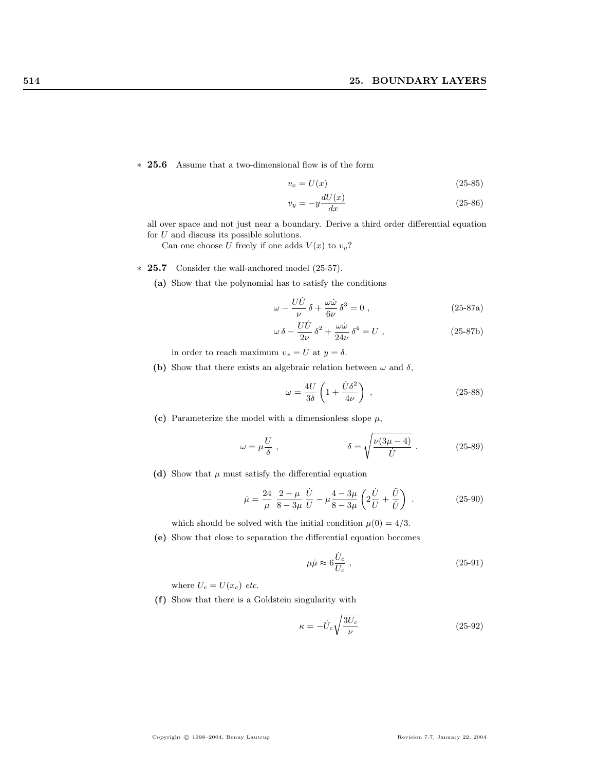∗ 25.6 Assume that a two-dimensional flow is of the form

$$
v_x = U(x) \tag{25-85}
$$

$$
v_y = -y \frac{dU(x)}{dx} \tag{25-86}
$$

all over space and not just near a boundary. Derive a third order differential equation for  $U$  and discuss its possible solutions.

Can one choose U freely if one adds  $V(x)$  to  $v_y$ ?

#### ∗ 25.7 Consider the wall-anchored model (25-57).

(a) Show that the polynomial has to satisfy the conditions

$$
\omega - \frac{U\dot{U}}{\nu} \delta + \frac{\omega \dot{\omega}}{6\nu} \delta^3 = 0 , \qquad (25-87a)
$$

$$
\omega \delta - \frac{U\dot{U}}{2\nu} \delta^2 + \frac{\omega \dot{\omega}}{24\nu} \delta^4 = U , \qquad (25-87b)
$$

in order to reach maximum  $v_x = U$  at  $y = \delta$ .

(b) Show that there exists an algebraic relation between  $\omega$  and  $\delta$ ,

$$
\omega = \frac{4U}{3\delta} \left( 1 + \frac{\dot{U}\delta^2}{4\nu} \right) , \qquad (25-88)
$$

(c) Parameterize the model with a dimensionless slope  $\mu$ ,

$$
\omega = \mu \frac{U}{\delta} , \qquad \delta = \sqrt{\frac{\nu (3\mu - 4)}{\dot{U}}} . \qquad (25-89)
$$

(d) Show that  $\mu$  must satisfy the differential equation

$$
\dot{\mu} = \frac{24}{\mu} \frac{2 - \mu}{8 - 3\mu} \frac{\dot{U}}{U} - \mu \frac{4 - 3\mu}{8 - 3\mu} \left( 2\frac{\dot{U}}{U} + \frac{\ddot{U}}{\dot{U}} \right) .
$$
 (25-90)

which should be solved with the initial condition  $\mu(0) = 4/3$ .

(e) Show that close to separation the differential equation becomes

$$
\mu \dot{\mu} \approx 6 \frac{\dot{U}_c}{U_c} \ , \tag{25-91}
$$

where  $U_c = U(x_c)$  etc.

(f) Show that there is a Goldstein singularity with

$$
\kappa = -\dot{U}_c \sqrt{\frac{3U_c}{\nu}}\tag{25-92}
$$